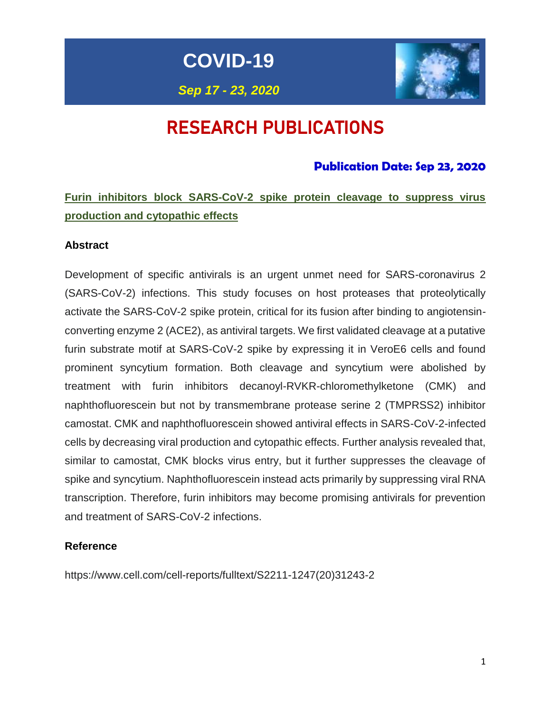**COVID-19**

# *Sep 17 - 23, 2020*

# RESEARCH PUBLICATIONS

# **Publication Date: Sep 23, 2020**

# **Furin inhibitors block SARS-CoV-2 spike protein cleavage to suppress virus production and cytopathic effects**

## **Abstract**

Development of specific antivirals is an urgent unmet need for SARS-coronavirus 2 (SARS-CoV-2) infections. This study focuses on host proteases that proteolytically activate the SARS-CoV-2 spike protein, critical for its fusion after binding to angiotensinconverting enzyme 2 (ACE2), as antiviral targets. We first validated cleavage at a putative furin substrate motif at SARS-CoV-2 spike by expressing it in VeroE6 cells and found prominent syncytium formation. Both cleavage and syncytium were abolished by treatment with furin inhibitors decanoyl-RVKR-chloromethylketone (CMK) and naphthofluorescein but not by transmembrane protease serine 2 (TMPRSS2) inhibitor camostat. CMK and naphthofluorescein showed antiviral effects in SARS-CoV-2-infected cells by decreasing viral production and cytopathic effects. Further analysis revealed that, similar to camostat, CMK blocks virus entry, but it further suppresses the cleavage of spike and syncytium. Naphthofluorescein instead acts primarily by suppressing viral RNA transcription. Therefore, furin inhibitors may become promising antivirals for prevention and treatment of SARS-CoV-2 infections.

#### **Reference**

[https://www.cell.com/cell-reports/fulltext/S2211-1247\(20\)31243-2](https://www.cell.com/cell-reports/fulltext/S2211-1247(20)31243-2)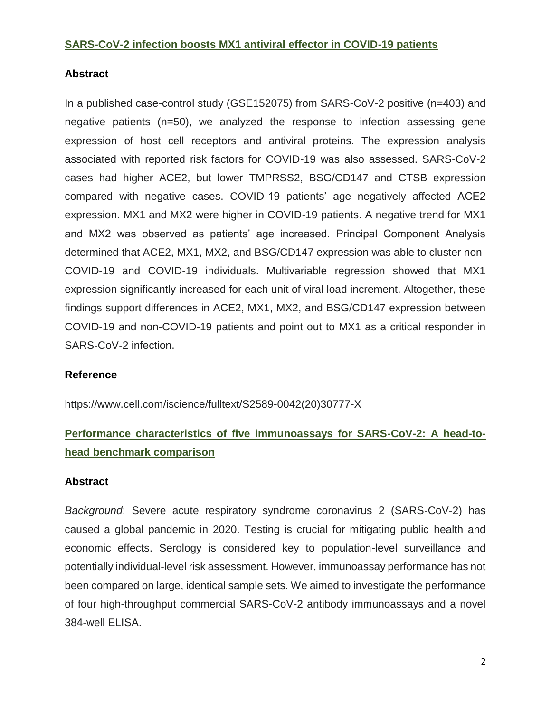## **SARS-CoV-2 infection boosts MX1 antiviral effector in COVID-19 patients**

## **Abstract**

In a published case-control study (GSE152075) from SARS-CoV-2 positive (n=403) and negative patients (n=50), we analyzed the response to infection assessing gene expression of host cell receptors and antiviral proteins. The expression analysis associated with reported risk factors for COVID-19 was also assessed. SARS-CoV-2 cases had higher ACE2, but lower TMPRSS2, BSG/CD147 and CTSB expression compared with negative cases. COVID-19 patients' age negatively affected ACE2 expression. MX1 and MX2 were higher in COVID-19 patients. A negative trend for MX1 and MX2 was observed as patients' age increased. Principal Component Analysis determined that ACE2, MX1, MX2, and BSG/CD147 expression was able to cluster non-COVID-19 and COVID-19 individuals. Multivariable regression showed that MX1 expression significantly increased for each unit of viral load increment. Altogether, these findings support differences in ACE2, MX1, MX2, and BSG/CD147 expression between COVID-19 and non-COVID-19 patients and point out to MX1 as a critical responder in SARS-CoV-2 infection.

#### **Reference**

https://www.cell.com/iscience/fulltext/S2589-0042(20)30777-X

# **Performance characteristics of five immunoassays for SARS-CoV-2: A head-tohead benchmark comparison**

#### **Abstract**

*Background*: Severe acute respiratory syndrome coronavirus 2 (SARS-CoV-2) has caused a global pandemic in 2020. Testing is crucial for mitigating public health and economic effects. Serology is considered key to population-level surveillance and potentially individual-level risk assessment. However, immunoassay performance has not been compared on large, identical sample sets. We aimed to investigate the performance of four high-throughput commercial SARS-CoV-2 antibody immunoassays and a novel 384-well ELISA.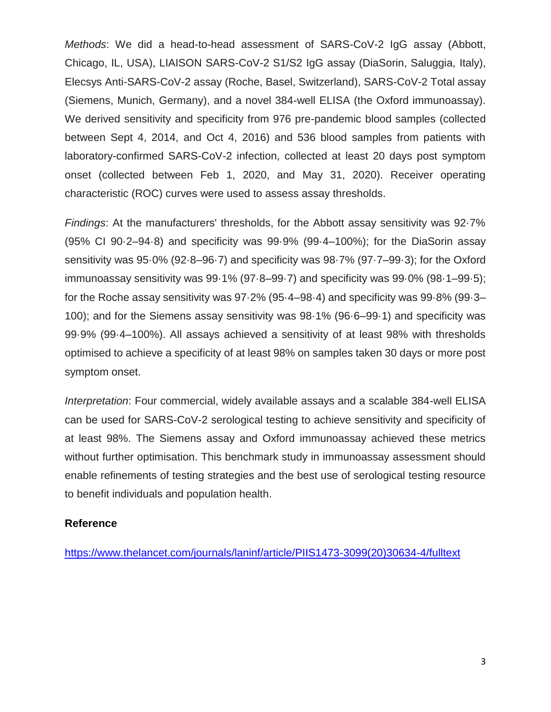*Methods*: We did a head-to-head assessment of SARS-CoV-2 IgG assay (Abbott, Chicago, IL, USA), LIAISON SARS-CoV-2 S1/S2 IgG assay (DiaSorin, Saluggia, Italy), Elecsys Anti-SARS-CoV-2 assay (Roche, Basel, Switzerland), SARS-CoV-2 Total assay (Siemens, Munich, Germany), and a novel 384-well ELISA (the Oxford immunoassay). We derived sensitivity and specificity from 976 pre-pandemic blood samples (collected between Sept 4, 2014, and Oct 4, 2016) and 536 blood samples from patients with laboratory-confirmed SARS-CoV-2 infection, collected at least 20 days post symptom onset (collected between Feb 1, 2020, and May 31, 2020). Receiver operating characteristic (ROC) curves were used to assess assay thresholds.

*Findings*: At the manufacturers' thresholds, for the Abbott assay sensitivity was 92·7% (95% CI 90·2–94·8) and specificity was 99·9% (99·4–100%); for the DiaSorin assay sensitivity was 95·0% (92·8–96·7) and specificity was 98·7% (97·7–99·3); for the Oxford immunoassay sensitivity was 99·1% (97·8–99·7) and specificity was 99·0% (98·1–99·5); for the Roche assay sensitivity was 97·2% (95·4–98·4) and specificity was 99·8% (99·3– 100); and for the Siemens assay sensitivity was 98·1% (96·6–99·1) and specificity was 99·9% (99·4–100%). All assays achieved a sensitivity of at least 98% with thresholds optimised to achieve a specificity of at least 98% on samples taken 30 days or more post symptom onset.

*Interpretation*: Four commercial, widely available assays and a scalable 384-well ELISA can be used for SARS-CoV-2 serological testing to achieve sensitivity and specificity of at least 98%. The Siemens assay and Oxford immunoassay achieved these metrics without further optimisation. This benchmark study in immunoassay assessment should enable refinements of testing strategies and the best use of serological testing resource to benefit individuals and population health.

#### **Reference**

[https://www.thelancet.com/journals/laninf/article/PIIS1473-3099\(20\)30634-4/fulltext](https://www.thelancet.com/journals/laninf/article/PIIS1473-3099(20)30634-4/fulltext)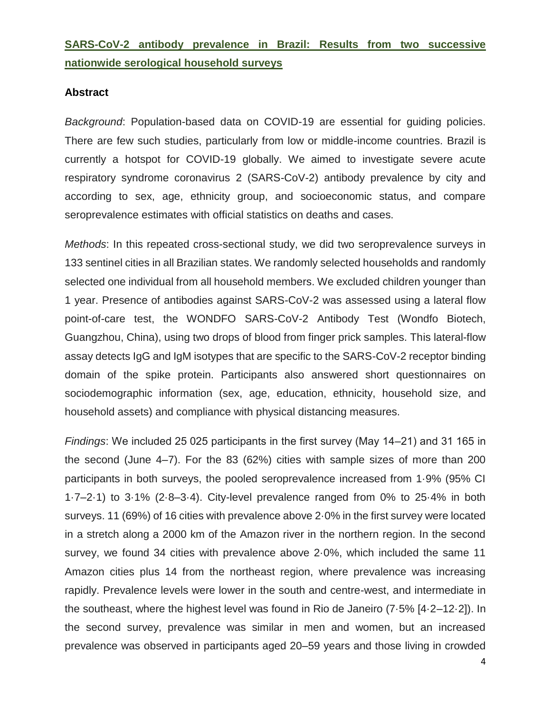# **SARS-CoV-2 antibody prevalence in Brazil: Results from two successive nationwide serological household surveys**

#### **Abstract**

*Background*: Population-based data on COVID-19 are essential for guiding policies. There are few such studies, particularly from low or middle-income countries. Brazil is currently a hotspot for COVID-19 globally. We aimed to investigate severe acute respiratory syndrome coronavirus 2 (SARS-CoV-2) antibody prevalence by city and according to sex, age, ethnicity group, and socioeconomic status, and compare seroprevalence estimates with official statistics on deaths and cases.

*Methods*: In this repeated cross-sectional study, we did two seroprevalence surveys in 133 sentinel cities in all Brazilian states. We randomly selected households and randomly selected one individual from all household members. We excluded children younger than 1 year. Presence of antibodies against SARS-CoV-2 was assessed using a lateral flow point-of-care test, the WONDFO SARS-CoV-2 Antibody Test (Wondfo Biotech, Guangzhou, China), using two drops of blood from finger prick samples. This lateral-flow assay detects IgG and IgM isotypes that are specific to the SARS-CoV-2 receptor binding domain of the spike protein. Participants also answered short questionnaires on sociodemographic information (sex, age, education, ethnicity, household size, and household assets) and compliance with physical distancing measures.

*Findings*: We included 25 025 participants in the first survey (May 14–21) and 31 165 in the second (June 4–7). For the 83 (62%) cities with sample sizes of more than 200 participants in both surveys, the pooled seroprevalence increased from 1·9% (95% CI 1·7–2·1) to 3·1% (2·8–3·4). City-level prevalence ranged from 0% to 25·4% in both surveys. 11 (69%) of 16 cities with prevalence above 2·0% in the first survey were located in a stretch along a 2000 km of the Amazon river in the northern region. In the second survey, we found 34 cities with prevalence above 2·0%, which included the same 11 Amazon cities plus 14 from the northeast region, where prevalence was increasing rapidly. Prevalence levels were lower in the south and centre-west, and intermediate in the southeast, where the highest level was found in Rio de Janeiro (7·5% [4·2–12·2]). In the second survey, prevalence was similar in men and women, but an increased prevalence was observed in participants aged 20–59 years and those living in crowded

4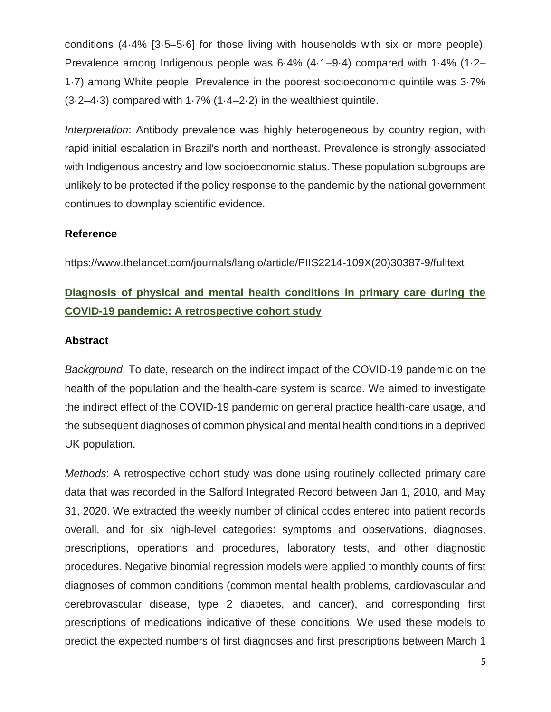conditions (4·4% [3·5–5·6] for those living with households with six or more people). Prevalence among Indigenous people was 6·4% (4·1–9·4) compared with 1·4% (1·2– 1·7) among White people. Prevalence in the poorest socioeconomic quintile was 3·7%  $(3.2–4.3)$  compared with  $1.7%$   $(1.4–2.2)$  in the wealthiest quintile.

*Interpretation*: Antibody prevalence was highly heterogeneous by country region, with rapid initial escalation in Brazil's north and northeast. Prevalence is strongly associated with Indigenous ancestry and low socioeconomic status. These population subgroups are unlikely to be protected if the policy response to the pandemic by the national government continues to downplay scientific evidence.

## **Reference**

https://www.thelancet.com/journals/langlo/article/PIIS2214-109X(20)30387-9/fulltext

# **Diagnosis of physical and mental health conditions in primary care during the COVID-19 pandemic: A retrospective cohort study**

#### **Abstract**

*Background*: To date, research on the indirect impact of the COVID-19 pandemic on the health of the population and the health-care system is scarce. We aimed to investigate the indirect effect of the COVID-19 pandemic on general practice health-care usage, and the subsequent diagnoses of common physical and mental health conditions in a deprived UK population.

*Methods*: A retrospective cohort study was done using routinely collected primary care data that was recorded in the Salford Integrated Record between Jan 1, 2010, and May 31, 2020. We extracted the weekly number of clinical codes entered into patient records overall, and for six high-level categories: symptoms and observations, diagnoses, prescriptions, operations and procedures, laboratory tests, and other diagnostic procedures. Negative binomial regression models were applied to monthly counts of first diagnoses of common conditions (common mental health problems, cardiovascular and cerebrovascular disease, type 2 diabetes, and cancer), and corresponding first prescriptions of medications indicative of these conditions. We used these models to predict the expected numbers of first diagnoses and first prescriptions between March 1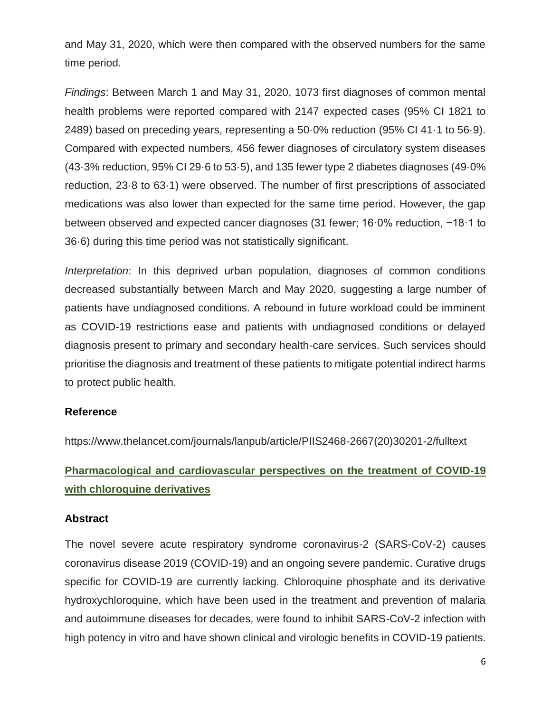and May 31, 2020, which were then compared with the observed numbers for the same time period.

*Findings*: Between March 1 and May 31, 2020, 1073 first diagnoses of common mental health problems were reported compared with 2147 expected cases (95% CI 1821 to 2489) based on preceding years, representing a 50·0% reduction (95% CI 41·1 to 56·9). Compared with expected numbers, 456 fewer diagnoses of circulatory system diseases (43·3% reduction, 95% CI 29·6 to 53·5), and 135 fewer type 2 diabetes diagnoses (49·0% reduction, 23·8 to 63·1) were observed. The number of first prescriptions of associated medications was also lower than expected for the same time period. However, the gap between observed and expected cancer diagnoses (31 fewer; 16·0% reduction, −18·1 to 36·6) during this time period was not statistically significant.

*Interpretation*: In this deprived urban population, diagnoses of common conditions decreased substantially between March and May 2020, suggesting a large number of patients have undiagnosed conditions. A rebound in future workload could be imminent as COVID-19 restrictions ease and patients with undiagnosed conditions or delayed diagnosis present to primary and secondary health-care services. Such services should prioritise the diagnosis and treatment of these patients to mitigate potential indirect harms to protect public health.

#### **Reference**

https://www.thelancet.com/journals/lanpub/article/PIIS2468-2667(20)30201-2/fulltext

# **Pharmacological and cardiovascular perspectives on the treatment of COVID-19 with chloroquine derivatives**

#### **Abstract**

The novel severe acute respiratory syndrome coronavirus-2 (SARS-CoV-2) causes coronavirus disease 2019 (COVID-19) and an ongoing severe pandemic. Curative drugs specific for COVID-19 are currently lacking. Chloroquine phosphate and its derivative hydroxychloroquine, which have been used in the treatment and prevention of malaria and autoimmune diseases for decades, were found to inhibit SARS-CoV-2 infection with high potency in vitro and have shown clinical and virologic benefits in COVID-19 patients.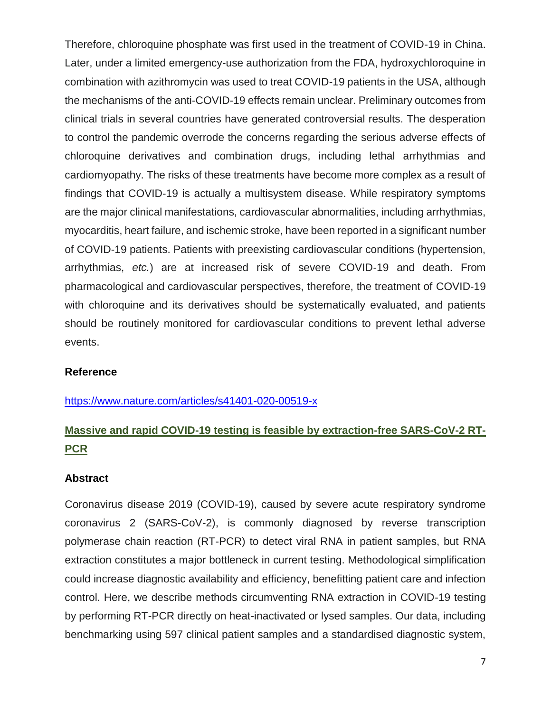Therefore, chloroquine phosphate was first used in the treatment of COVID-19 in China. Later, under a limited emergency-use authorization from the FDA, hydroxychloroquine in combination with azithromycin was used to treat COVID-19 patients in the USA, although the mechanisms of the anti-COVID-19 effects remain unclear. Preliminary outcomes from clinical trials in several countries have generated controversial results. The desperation to control the pandemic overrode the concerns regarding the serious adverse effects of chloroquine derivatives and combination drugs, including lethal arrhythmias and cardiomyopathy. The risks of these treatments have become more complex as a result of findings that COVID-19 is actually a multisystem disease. While respiratory symptoms are the major clinical manifestations, cardiovascular abnormalities, including arrhythmias, myocarditis, heart failure, and ischemic stroke, have been reported in a significant number of COVID-19 patients. Patients with preexisting cardiovascular conditions (hypertension, arrhythmias, *etc.*) are at increased risk of severe COVID-19 and death. From pharmacological and cardiovascular perspectives, therefore, the treatment of COVID-19 with chloroquine and its derivatives should be systematically evaluated, and patients should be routinely monitored for cardiovascular conditions to prevent lethal adverse events.

#### **Reference**

<https://www.nature.com/articles/s41401-020-00519-x>

# **Massive and rapid COVID-19 testing is feasible by extraction-free SARS-CoV-2 RT-PCR**

#### **Abstract**

Coronavirus disease 2019 (COVID-19), caused by severe acute respiratory syndrome coronavirus 2 (SARS-CoV-2), is commonly diagnosed by reverse transcription polymerase chain reaction (RT-PCR) to detect viral RNA in patient samples, but RNA extraction constitutes a major bottleneck in current testing. Methodological simplification could increase diagnostic availability and efficiency, benefitting patient care and infection control. Here, we describe methods circumventing RNA extraction in COVID-19 testing by performing RT-PCR directly on heat-inactivated or lysed samples. Our data, including benchmarking using 597 clinical patient samples and a standardised diagnostic system,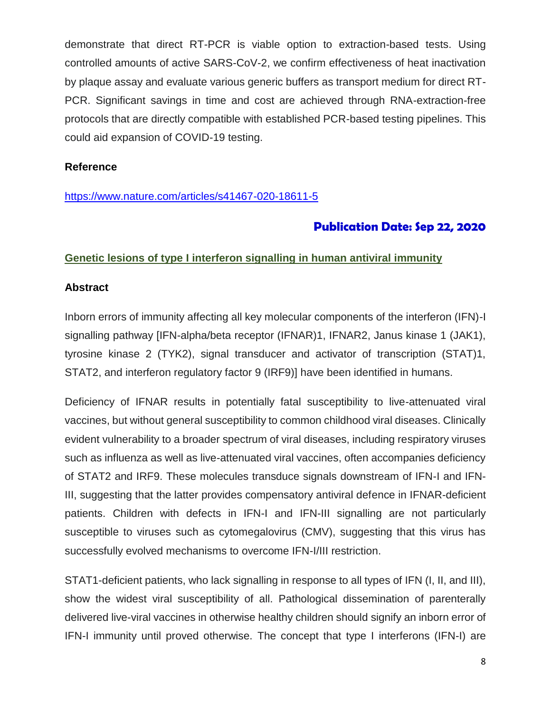demonstrate that direct RT-PCR is viable option to extraction-based tests. Using controlled amounts of active SARS-CoV-2, we confirm effectiveness of heat inactivation by plaque assay and evaluate various generic buffers as transport medium for direct RT-PCR. Significant savings in time and cost are achieved through RNA-extraction-free protocols that are directly compatible with established PCR-based testing pipelines. This could aid expansion of COVID-19 testing.

#### **Reference**

#### <https://www.nature.com/articles/s41467-020-18611-5>

## **Publication Date: Sep 22, 2020**

#### **Genetic lesions of type I interferon signalling in human antiviral immunity**

#### **Abstract**

Inborn errors of immunity affecting all key molecular components of the interferon (IFN)-I signalling pathway [IFN-alpha/beta receptor (IFNAR)1, IFNAR2, Janus kinase 1 (JAK1), tyrosine kinase 2 (TYK2), signal transducer and activator of transcription (STAT)1, STAT2, and interferon regulatory factor 9 (IRF9)] have been identified in humans.

Deficiency of IFNAR results in potentially fatal susceptibility to live-attenuated viral vaccines, but without general susceptibility to common childhood viral diseases. Clinically evident vulnerability to a broader spectrum of viral diseases, including respiratory viruses such as influenza as well as live-attenuated viral vaccines, often accompanies deficiency of STAT2 and IRF9. These molecules transduce signals downstream of IFN-I and IFN-III, suggesting that the latter provides compensatory antiviral defence in IFNAR-deficient patients. Children with defects in IFN-I and IFN-III signalling are not particularly susceptible to viruses such as cytomegalovirus (CMV), suggesting that this virus has successfully evolved mechanisms to overcome IFN-I/III restriction.

STAT1-deficient patients, who lack signalling in response to all types of IFN (I, II, and III), show the widest viral susceptibility of all. Pathological dissemination of parenterally delivered live-viral vaccines in otherwise healthy children should signify an inborn error of IFN-I immunity until proved otherwise. The concept that type I interferons (IFN-I) are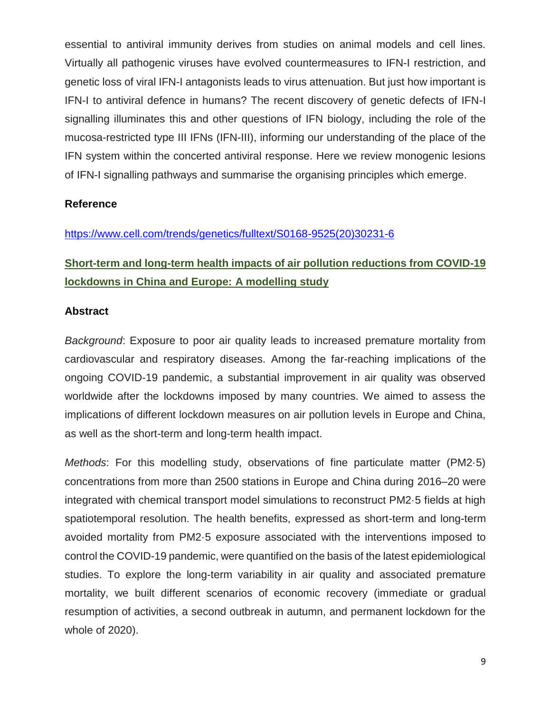essential to antiviral immunity derives from studies on animal models and cell lines. Virtually all pathogenic viruses have evolved countermeasures to IFN-I restriction, and genetic loss of viral IFN-I antagonists leads to virus attenuation. But just how important is IFN-I to antiviral defence in humans? The recent discovery of genetic defects of IFN-I signalling illuminates this and other questions of IFN biology, including the role of the mucosa-restricted type III IFNs (IFN-III), informing our understanding of the place of the IFN system within the concerted antiviral response. Here we review monogenic lesions of IFN-I signalling pathways and summarise the organising principles which emerge.

#### **Reference**

## [https://www.cell.com/trends/genetics/fulltext/S0168-9525\(20\)30231-6](https://www.cell.com/trends/genetics/fulltext/S0168-9525(20)30231-6)

# **Short-term and long-term health impacts of air pollution reductions from COVID-19 lockdowns in China and Europe: A modelling study**

#### **Abstract**

*Background*: Exposure to poor air quality leads to increased premature mortality from cardiovascular and respiratory diseases. Among the far-reaching implications of the ongoing COVID-19 pandemic, a substantial improvement in air quality was observed worldwide after the lockdowns imposed by many countries. We aimed to assess the implications of different lockdown measures on air pollution levels in Europe and China, as well as the short-term and long-term health impact.

*Methods*: For this modelling study, observations of fine particulate matter (PM2·5) concentrations from more than 2500 stations in Europe and China during 2016–20 were integrated with chemical transport model simulations to reconstruct PM2·5 fields at high spatiotemporal resolution. The health benefits, expressed as short-term and long-term avoided mortality from PM2·5 exposure associated with the interventions imposed to control the COVID-19 pandemic, were quantified on the basis of the latest epidemiological studies. To explore the long-term variability in air quality and associated premature mortality, we built different scenarios of economic recovery (immediate or gradual resumption of activities, a second outbreak in autumn, and permanent lockdown for the whole of 2020).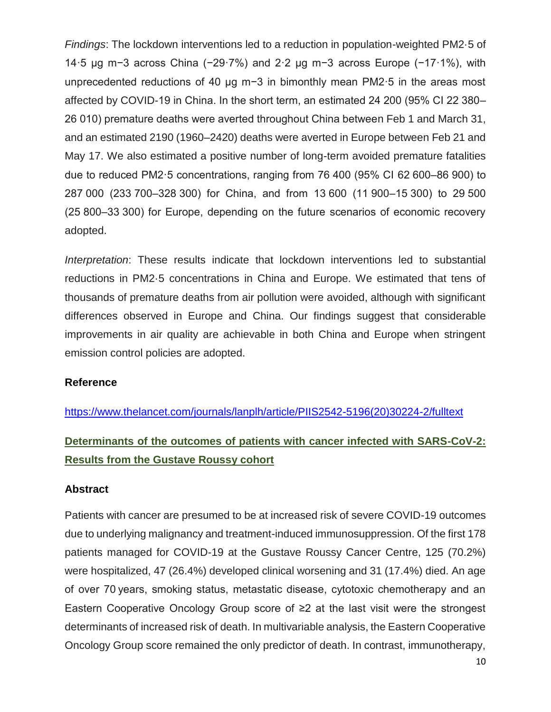*Findings*: The lockdown interventions led to a reduction in population-weighted PM2·5 of 14·5 μg m−3 across China (−29·7%) and 2·2 μg m−3 across Europe (−17·1%), with unprecedented reductions of 40 μg m−3 in bimonthly mean PM2·5 in the areas most affected by COVID-19 in China. In the short term, an estimated 24 200 (95% CI 22 380– 26 010) premature deaths were averted throughout China between Feb 1 and March 31, and an estimated 2190 (1960–2420) deaths were averted in Europe between Feb 21 and May 17. We also estimated a positive number of long-term avoided premature fatalities due to reduced PM2·5 concentrations, ranging from 76 400 (95% CI 62 600–86 900) to 287 000 (233 700–328 300) for China, and from 13 600 (11 900–15 300) to 29 500 (25 800–33 300) for Europe, depending on the future scenarios of economic recovery adopted.

*Interpretation*: These results indicate that lockdown interventions led to substantial reductions in PM2·5 concentrations in China and Europe. We estimated that tens of thousands of premature deaths from air pollution were avoided, although with significant differences observed in Europe and China. Our findings suggest that considerable improvements in air quality are achievable in both China and Europe when stringent emission control policies are adopted.

#### **Reference**

[https://www.thelancet.com/journals/lanplh/article/PIIS2542-5196\(20\)30224-2/fulltext](https://www.thelancet.com/journals/lanplh/article/PIIS2542-5196(20)30224-2/fulltext)

# **Determinants of the outcomes of patients with cancer infected with SARS-CoV-2: Results from the Gustave Roussy cohort**

#### **Abstract**

Patients with cancer are presumed to be at increased risk of severe COVID-19 outcomes due to underlying malignancy and treatment-induced immunosuppression. Of the first 178 patients managed for COVID-19 at the Gustave Roussy Cancer Centre, 125 (70.2%) were hospitalized, 47 (26.4%) developed clinical worsening and 31 (17.4%) died. An age of over 70 years, smoking status, metastatic disease, cytotoxic chemotherapy and an Eastern Cooperative Oncology Group score of ≥2 at the last visit were the strongest determinants of increased risk of death. In multivariable analysis, the Eastern Cooperative Oncology Group score remained the only predictor of death. In contrast, immunotherapy,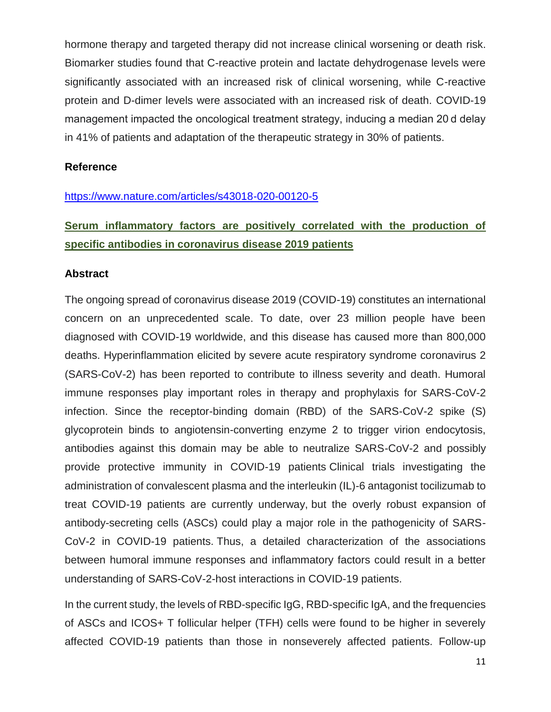hormone therapy and targeted therapy did not increase clinical worsening or death risk. Biomarker studies found that C-reactive protein and lactate dehydrogenase levels were significantly associated with an increased risk of clinical worsening, while C-reactive protein and D-dimer levels were associated with an increased risk of death. COVID-19 management impacted the oncological treatment strategy, inducing a median 20 d delay in 41% of patients and adaptation of the therapeutic strategy in 30% of patients.

#### **Reference**

#### <https://www.nature.com/articles/s43018-020-00120-5>

# **Serum inflammatory factors are positively correlated with the production of specific antibodies in coronavirus disease 2019 patients**

#### **Abstract**

The ongoing spread of coronavirus disease 2019 (COVID-19) constitutes an international concern on an unprecedented scale. To date, over 23 million people have been diagnosed with COVID-19 worldwide, and this disease has caused more than 800,000 deaths. Hyperinflammation elicited by severe acute respiratory syndrome coronavirus 2 (SARS-CoV-2) has been reported to contribute to illness severity and death. Humoral immune responses play important roles in therapy and prophylaxis for SARS-CoV-2 infection. Since the receptor-binding domain (RBD) of the SARS-CoV-2 spike (S) glycoprotein binds to angiotensin-converting enzyme 2 to trigger virion endocytosis, antibodies against this domain may be able to neutralize SARS-CoV-2 and possibly provide protective immunity in COVID-19 patients Clinical trials investigating the administration of convalescent plasma and the interleukin (IL)-6 antagonist tocilizumab to treat COVID-19 patients are currently underway, but the overly robust expansion of antibody-secreting cells (ASCs) could play a major role in the pathogenicity of SARS-CoV-2 in COVID-19 patients. Thus, a detailed characterization of the associations between humoral immune responses and inflammatory factors could result in a better understanding of SARS-CoV-2-host interactions in COVID-19 patients.

In the current study, the levels of RBD-specific IgG, RBD-specific IgA, and the frequencies of ASCs and ICOS+ T follicular helper (TFH) cells were found to be higher in severely affected COVID-19 patients than those in nonseverely affected patients. Follow-up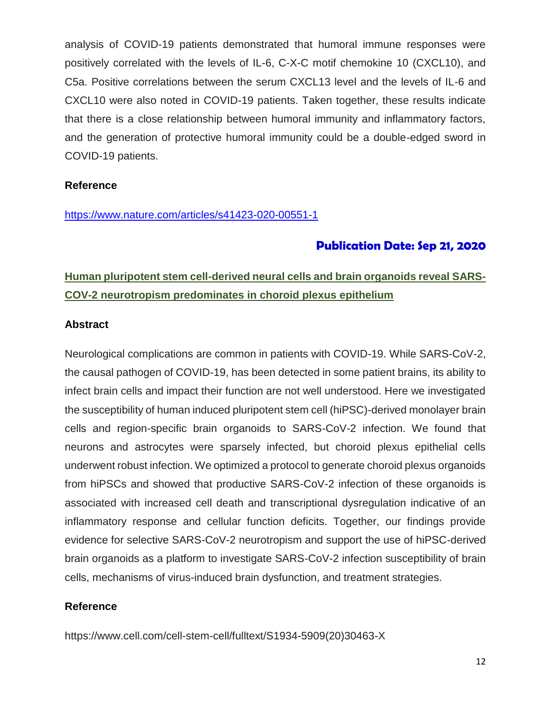analysis of COVID-19 patients demonstrated that humoral immune responses were positively correlated with the levels of IL-6, C-X-C motif chemokine 10 (CXCL10), and C5a. Positive correlations between the serum CXCL13 level and the levels of IL-6 and CXCL10 were also noted in COVID-19 patients. Taken together, these results indicate that there is a close relationship between humoral immunity and inflammatory factors, and the generation of protective humoral immunity could be a double-edged sword in COVID-19 patients.

#### **Reference**

<https://www.nature.com/articles/s41423-020-00551-1>

# **Publication Date: Sep 21, 2020**

# **Human pluripotent stem cell-derived neural cells and brain organoids reveal SARS-COV-2 neurotropism predominates in choroid plexus epithelium**

#### **Abstract**

Neurological complications are common in patients with COVID-19. While SARS-CoV-2, the causal pathogen of COVID-19, has been detected in some patient brains, its ability to infect brain cells and impact their function are not well understood. Here we investigated the susceptibility of human induced pluripotent stem cell (hiPSC)-derived monolayer brain cells and region-specific brain organoids to SARS-CoV-2 infection. We found that neurons and astrocytes were sparsely infected, but choroid plexus epithelial cells underwent robust infection. We optimized a protocol to generate choroid plexus organoids from hiPSCs and showed that productive SARS-CoV-2 infection of these organoids is associated with increased cell death and transcriptional dysregulation indicative of an inflammatory response and cellular function deficits. Together, our findings provide evidence for selective SARS-CoV-2 neurotropism and support the use of hiPSC-derived brain organoids as a platform to investigate SARS-CoV-2 infection susceptibility of brain cells, mechanisms of virus-induced brain dysfunction, and treatment strategies.

#### **Reference**

https://www.cell.com/cell-stem-cell/fulltext/S1934-5909(20)30463-X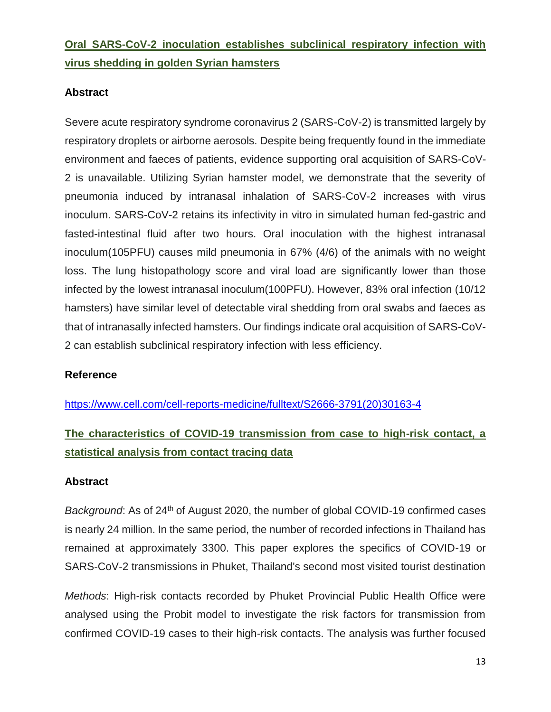# **Oral SARS-CoV-2 inoculation establishes subclinical respiratory infection with virus shedding in golden Syrian hamsters**

## **Abstract**

Severe acute respiratory syndrome coronavirus 2 (SARS-CoV-2) is transmitted largely by respiratory droplets or airborne aerosols. Despite being frequently found in the immediate environment and faeces of patients, evidence supporting oral acquisition of SARS-CoV-2 is unavailable. Utilizing Syrian hamster model, we demonstrate that the severity of pneumonia induced by intranasal inhalation of SARS-CoV-2 increases with virus inoculum. SARS-CoV-2 retains its infectivity in vitro in simulated human fed-gastric and fasted-intestinal fluid after two hours. Oral inoculation with the highest intranasal inoculum(105PFU) causes mild pneumonia in 67% (4/6) of the animals with no weight loss. The lung histopathology score and viral load are significantly lower than those infected by the lowest intranasal inoculum(100PFU). However, 83% oral infection (10/12 hamsters) have similar level of detectable viral shedding from oral swabs and faeces as that of intranasally infected hamsters. Our findings indicate oral acquisition of SARS-CoV-2 can establish subclinical respiratory infection with less efficiency.

#### **Reference**

[https://www.cell.com/cell-reports-medicine/fulltext/S2666-3791\(20\)30163-4](https://www.cell.com/cell-reports-medicine/fulltext/S2666-3791(20)30163-4)

# **The characteristics of COVID-19 transmission from case to high-risk contact, a statistical analysis from contact tracing data**

#### **Abstract**

*Background*: As of 24<sup>th</sup> of August 2020, the number of global COVID-19 confirmed cases is nearly 24 million. In the same period, the number of recorded infections in Thailand has remained at approximately 3300. This paper explores the specifics of COVID-19 or SARS-CoV-2 transmissions in Phuket, Thailand's second most visited tourist destination

*Methods*: High-risk contacts recorded by Phuket Provincial Public Health Office were analysed using the Probit model to investigate the risk factors for transmission from confirmed COVID-19 cases to their high-risk contacts. The analysis was further focused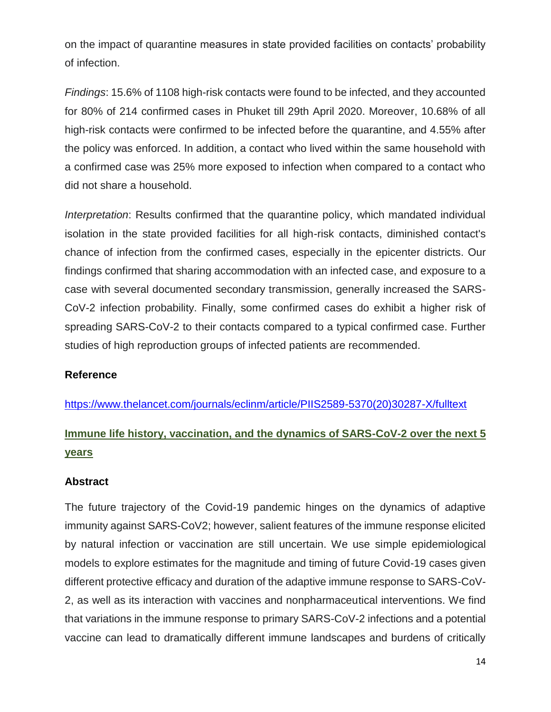on the impact of quarantine measures in state provided facilities on contacts' probability of infection.

*Findings*: 15.6% of 1108 high-risk contacts were found to be infected, and they accounted for 80% of 214 confirmed cases in Phuket till 29th April 2020. Moreover, 10.68% of all high-risk contacts were confirmed to be infected before the quarantine, and 4.55% after the policy was enforced. In addition, a contact who lived within the same household with a confirmed case was 25% more exposed to infection when compared to a contact who did not share a household.

*Interpretation*: Results confirmed that the quarantine policy, which mandated individual isolation in the state provided facilities for all high-risk contacts, diminished contact's chance of infection from the confirmed cases, especially in the epicenter districts. Our findings confirmed that sharing accommodation with an infected case, and exposure to a case with several documented secondary transmission, generally increased the SARS-CoV-2 infection probability. Finally, some confirmed cases do exhibit a higher risk of spreading SARS-CoV-2 to their contacts compared to a typical confirmed case. Further studies of high reproduction groups of infected patients are recommended.

#### **Reference**

[https://www.thelancet.com/journals/eclinm/article/PIIS2589-5370\(20\)30287-X/fulltext](https://www.thelancet.com/journals/eclinm/article/PIIS2589-5370(20)30287-X/fulltext)

# **Immune life history, vaccination, and the dynamics of SARS-CoV-2 over the next 5 years**

#### **Abstract**

The future trajectory of the Covid-19 pandemic hinges on the dynamics of adaptive immunity against SARS-CoV2; however, salient features of the immune response elicited by natural infection or vaccination are still uncertain. We use simple epidemiological models to explore estimates for the magnitude and timing of future Covid-19 cases given different protective efficacy and duration of the adaptive immune response to SARS-CoV-2, as well as its interaction with vaccines and nonpharmaceutical interventions. We find that variations in the immune response to primary SARS-CoV-2 infections and a potential vaccine can lead to dramatically different immune landscapes and burdens of critically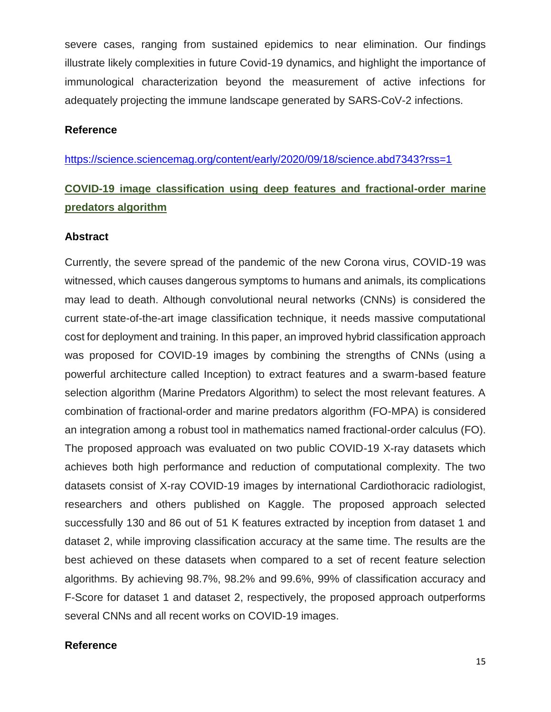severe cases, ranging from sustained epidemics to near elimination. Our findings illustrate likely complexities in future Covid-19 dynamics, and highlight the importance of immunological characterization beyond the measurement of active infections for adequately projecting the immune landscape generated by SARS-CoV-2 infections.

#### **Reference**

<https://science.sciencemag.org/content/early/2020/09/18/science.abd7343?rss=1>

# **COVID-19 image classification using deep features and fractional-order marine predators algorithm**

#### **Abstract**

Currently, the severe spread of the pandemic of the new Corona virus, COVID-19 was witnessed, which causes dangerous symptoms to humans and animals, its complications may lead to death. Although convolutional neural networks (CNNs) is considered the current state-of-the-art image classification technique, it needs massive computational cost for deployment and training. In this paper, an improved hybrid classification approach was proposed for COVID-19 images by combining the strengths of CNNs (using a powerful architecture called Inception) to extract features and a swarm-based feature selection algorithm (Marine Predators Algorithm) to select the most relevant features. A combination of fractional-order and marine predators algorithm (FO-MPA) is considered an integration among a robust tool in mathematics named fractional-order calculus (FO). The proposed approach was evaluated on two public COVID-19 X-ray datasets which achieves both high performance and reduction of computational complexity. The two datasets consist of X-ray COVID-19 images by international Cardiothoracic radiologist, researchers and others published on Kaggle. The proposed approach selected successfully 130 and 86 out of 51 K features extracted by inception from dataset 1 and dataset 2, while improving classification accuracy at the same time. The results are the best achieved on these datasets when compared to a set of recent feature selection algorithms. By achieving 98.7%, 98.2% and 99.6%, 99% of classification accuracy and F-Score for dataset 1 and dataset 2, respectively, the proposed approach outperforms several CNNs and all recent works on COVID-19 images.

#### **Reference**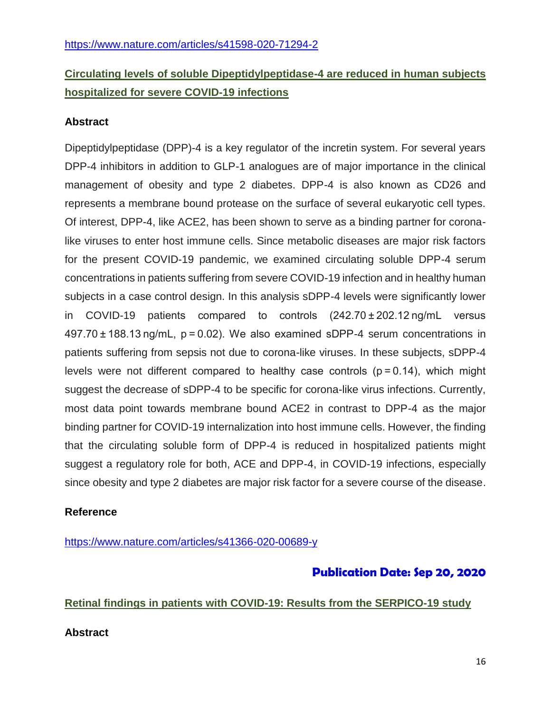# **Circulating levels of soluble Dipeptidylpeptidase-4 are reduced in human subjects hospitalized for severe COVID-19 infections**

## **Abstract**

Dipeptidylpeptidase (DPP)-4 is a key regulator of the incretin system. For several years DPP-4 inhibitors in addition to GLP-1 analogues are of major importance in the clinical management of obesity and type 2 diabetes. DPP-4 is also known as CD26 and represents a membrane bound protease on the surface of several eukaryotic cell types. Of interest, DPP-4, like ACE2, has been shown to serve as a binding partner for coronalike viruses to enter host immune cells. Since metabolic diseases are major risk factors for the present COVID-19 pandemic, we examined circulating soluble DPP-4 serum concentrations in patients suffering from severe COVID-19 infection and in healthy human subjects in a case control design. In this analysis sDPP-4 levels were significantly lower in COVID-19 patients compared to controls (242.70 ± 202.12 ng/mL versus 497.70 ± 188.13 ng/mL, p = 0.02). We also examined sDPP-4 serum concentrations in patients suffering from sepsis not due to corona-like viruses. In these subjects, sDPP-4 levels were not different compared to healthy case controls  $(p=0.14)$ , which might suggest the decrease of sDPP-4 to be specific for corona-like virus infections. Currently, most data point towards membrane bound ACE2 in contrast to DPP-4 as the major binding partner for COVID-19 internalization into host immune cells. However, the finding that the circulating soluble form of DPP-4 is reduced in hospitalized patients might suggest a regulatory role for both, ACE and DPP-4, in COVID-19 infections, especially since obesity and type 2 diabetes are major risk factor for a severe course of the disease.

## **Reference**

<https://www.nature.com/articles/s41366-020-00689-y>

# **Publication Date: Sep 20, 2020**

## **Retinal findings in patients with COVID-19: Results from the SERPICO-19 study**

## **Abstract**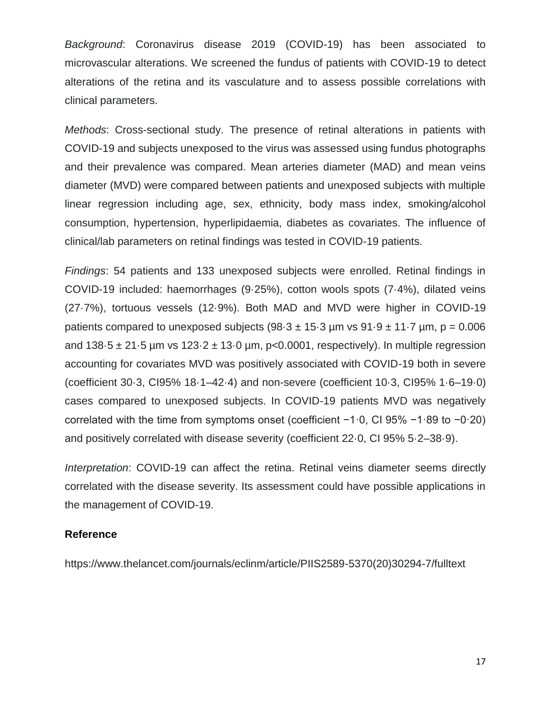*Background*: Coronavirus disease 2019 (COVID-19) has been associated to microvascular alterations. We screened the fundus of patients with COVID-19 to detect alterations of the retina and its vasculature and to assess possible correlations with clinical parameters.

*Methods*: Cross-sectional study. The presence of retinal alterations in patients with COVID-19 and subjects unexposed to the virus was assessed using fundus photographs and their prevalence was compared. Mean arteries diameter (MAD) and mean veins diameter (MVD) were compared between patients and unexposed subjects with multiple linear regression including age, sex, ethnicity, body mass index, smoking/alcohol consumption, hypertension, hyperlipidaemia, diabetes as covariates. The influence of clinical/lab parameters on retinal findings was tested in COVID-19 patients.

*Findings*: 54 patients and 133 unexposed subjects were enrolled. Retinal findings in COVID-19 included: haemorrhages (9·25%), cotton wools spots (7·4%), dilated veins (27·7%), tortuous vessels (12·9%). Both MAD and MVD were higher in COVID-19 patients compared to unexposed subjects  $(98.3 \pm 15.3 \,\mu m$  vs  $91.9 \pm 11.7 \,\mu m$ ,  $p = 0.006$ and  $138.5 \pm 21.5$  µm vs  $123.2 \pm 13.0$  µm, p<0.0001, respectively). In multiple regression accounting for covariates MVD was positively associated with COVID-19 both in severe (coefficient 30·3, CI95% 18·1–42·4) and non-severe (coefficient 10·3, CI95% 1·6–19·0) cases compared to unexposed subjects. In COVID-19 patients MVD was negatively correlated with the time from symptoms onset (coefficient −1·0, CI 95% −1·89 to −0·20) and positively correlated with disease severity (coefficient 22·0, CI 95% 5·2–38·9).

*Interpretation*: COVID-19 can affect the retina. Retinal veins diameter seems directly correlated with the disease severity. Its assessment could have possible applications in the management of COVID-19.

#### **Reference**

https://www.thelancet.com/journals/eclinm/article/PIIS2589-5370(20)30294-7/fulltext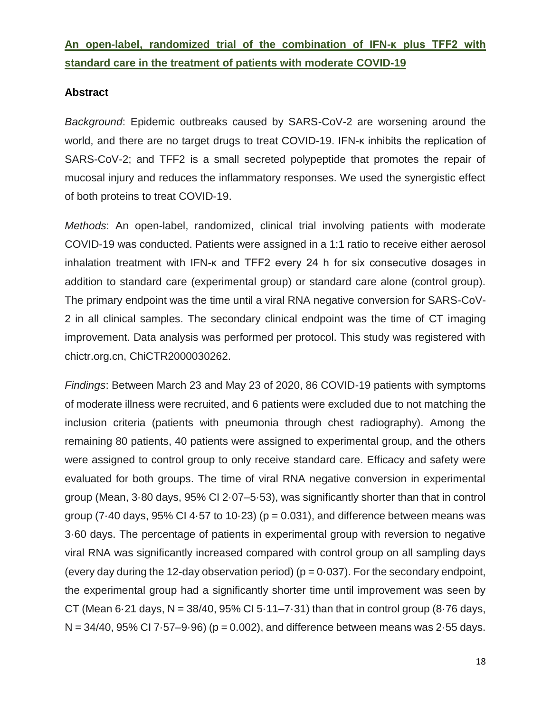# **An open-label, randomized trial of the combination of IFN-κ plus TFF2 with standard care in the treatment of patients with moderate COVID-19**

#### **Abstract**

*Background*: Epidemic outbreaks caused by SARS-CoV-2 are worsening around the world, and there are no target drugs to treat COVID-19. IFN-κ inhibits the replication of SARS-CoV-2; and TFF2 is a small secreted polypeptide that promotes the repair of mucosal injury and reduces the inflammatory responses. We used the synergistic effect of both proteins to treat COVID-19.

*Methods*: An open-label, randomized, clinical trial involving patients with moderate COVID-19 was conducted. Patients were assigned in a 1:1 ratio to receive either aerosol inhalation treatment with IFN-κ and TFF2 every 24 h for six consecutive dosages in addition to standard care (experimental group) or standard care alone (control group). The primary endpoint was the time until a viral RNA negative conversion for SARS-CoV-2 in all clinical samples. The secondary clinical endpoint was the time of CT imaging improvement. Data analysis was performed per protocol. This study was registered with chictr.org.cn, ChiCTR2000030262.

*Findings*: Between March 23 and May 23 of 2020, 86 COVID-19 patients with symptoms of moderate illness were recruited, and 6 patients were excluded due to not matching the inclusion criteria (patients with pneumonia through chest radiography). Among the remaining 80 patients, 40 patients were assigned to experimental group, and the others were assigned to control group to only receive standard care. Efficacy and safety were evaluated for both groups. The time of viral RNA negative conversion in experimental group (Mean, 3·80 days, 95% CI 2·07–5·53), was significantly shorter than that in control group (7 $\cdot$ 40 days, 95% CI 4 $\cdot$ 57 to 10 $\cdot$ 23) (p = 0.031), and difference between means was 3·60 days. The percentage of patients in experimental group with reversion to negative viral RNA was significantly increased compared with control group on all sampling days (every day during the 12-day observation period) ( $p = 0.037$ ). For the secondary endpoint, the experimental group had a significantly shorter time until improvement was seen by CT (Mean 6.21 days,  $N = 38/40$ , 95% CI 5.11–7.31) than that in control group (8.76 days,  $N = 34/40$ , 95% CI 7 $\cdot$  57–9 $\cdot$ 96) (p = 0.002), and difference between means was 2 $\cdot$ 55 days.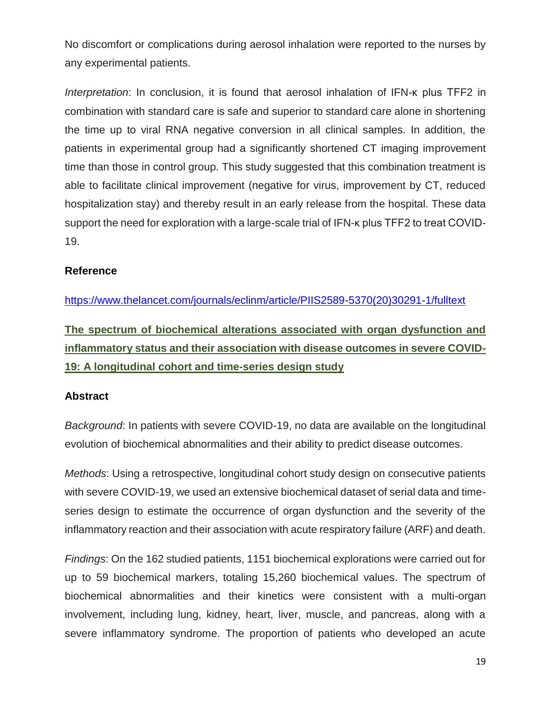No discomfort or complications during aerosol inhalation were reported to the nurses by any experimental patients.

*Interpretation*: In conclusion, it is found that aerosol inhalation of IFN-κ plus TFF2 in combination with standard care is safe and superior to standard care alone in shortening the time up to viral RNA negative conversion in all clinical samples. In addition, the patients in experimental group had a significantly shortened CT imaging improvement time than those in control group. This study suggested that this combination treatment is able to facilitate clinical improvement (negative for virus, improvement by CT, reduced hospitalization stay) and thereby result in an early release from the hospital. These data support the need for exploration with a large-scale trial of IFN-κ plus TFF2 to treat COVID-19.

## **Reference**

[https://www.thelancet.com/journals/eclinm/article/PIIS2589-5370\(20\)30291-1/fulltext](https://www.thelancet.com/journals/eclinm/article/PIIS2589-5370(20)30291-1/fulltext)

**The spectrum of biochemical alterations associated with organ dysfunction and inflammatory status and their association with disease outcomes in severe COVID-19: A longitudinal cohort and time-series design study**

## **Abstract**

*Background*: In patients with severe COVID-19, no data are available on the longitudinal evolution of biochemical abnormalities and their ability to predict disease outcomes.

*Methods*: Using a retrospective, longitudinal cohort study design on consecutive patients with severe COVID-19, we used an extensive biochemical dataset of serial data and timeseries design to estimate the occurrence of organ dysfunction and the severity of the inflammatory reaction and their association with acute respiratory failure (ARF) and death.

*Findings*: On the 162 studied patients, 1151 biochemical explorations were carried out for up to 59 biochemical markers, totaling 15,260 biochemical values. The spectrum of biochemical abnormalities and their kinetics were consistent with a multi-organ involvement, including lung, kidney, heart, liver, muscle, and pancreas, along with a severe inflammatory syndrome. The proportion of patients who developed an acute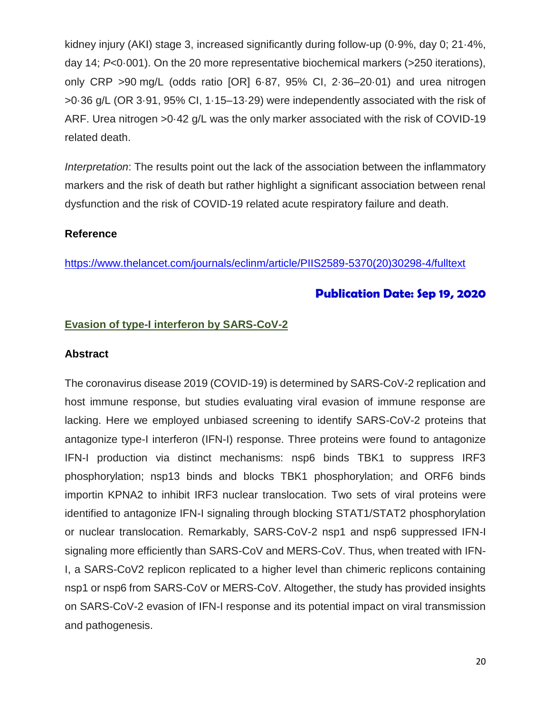kidney injury (AKI) stage 3, increased significantly during follow-up (0·9%, day 0; 21·4%, day 14; *P*<0·001). On the 20 more representative biochemical markers (>250 iterations), only CRP >90 mg/L (odds ratio [OR] 6·87, 95% CI, 2·36–20·01) and urea nitrogen >0·36 g/L (OR 3·91, 95% CI, 1·15–13·29) were independently associated with the risk of ARF. Urea nitrogen >0·42 g/L was the only marker associated with the risk of COVID-19 related death.

*Interpretation*: The results point out the lack of the association between the inflammatory markers and the risk of death but rather highlight a significant association between renal dysfunction and the risk of COVID-19 related acute respiratory failure and death.

#### **Reference**

[https://www.thelancet.com/journals/eclinm/article/PIIS2589-5370\(20\)30298-4/fulltext](https://www.thelancet.com/journals/eclinm/article/PIIS2589-5370(20)30298-4/fulltext)

## **Publication Date: Sep 19, 2020**

#### **Evasion of type-I interferon by SARS-CoV-2**

#### **Abstract**

The coronavirus disease 2019 (COVID-19) is determined by SARS-CoV-2 replication and host immune response, but studies evaluating viral evasion of immune response are lacking. Here we employed unbiased screening to identify SARS-CoV-2 proteins that antagonize type-I interferon (IFN-I) response. Three proteins were found to antagonize IFN-I production via distinct mechanisms: nsp6 binds TBK1 to suppress IRF3 phosphorylation; nsp13 binds and blocks TBK1 phosphorylation; and ORF6 binds importin KPNA2 to inhibit IRF3 nuclear translocation. Two sets of viral proteins were identified to antagonize IFN-I signaling through blocking STAT1/STAT2 phosphorylation or nuclear translocation. Remarkably, SARS-CoV-2 nsp1 and nsp6 suppressed IFN-I signaling more efficiently than SARS-CoV and MERS-CoV. Thus, when treated with IFN-I, a SARS-CoV2 replicon replicated to a higher level than chimeric replicons containing nsp1 or nsp6 from SARS-CoV or MERS-CoV. Altogether, the study has provided insights on SARS-CoV-2 evasion of IFN-I response and its potential impact on viral transmission and pathogenesis.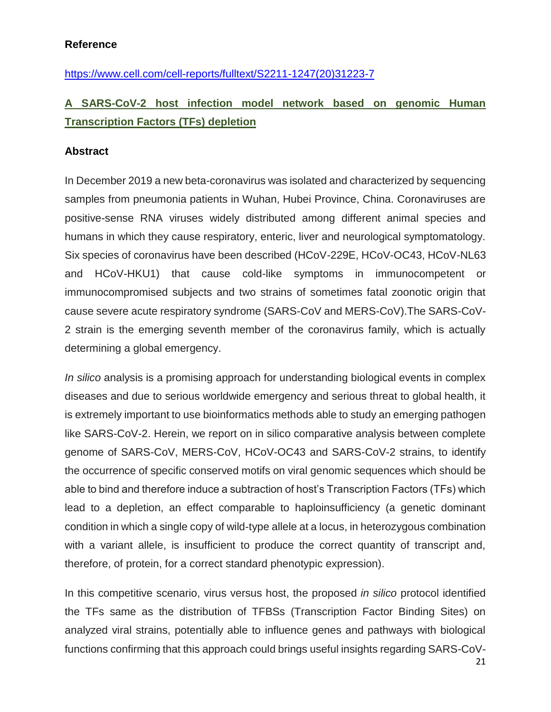## **Reference**

[https://www.cell.com/cell-reports/fulltext/S2211-1247\(20\)31223-7](https://www.cell.com/cell-reports/fulltext/S2211-1247(20)31223-7)

# **A SARS-CoV-2 host infection model network based on genomic Human Transcription Factors (TFs) depletion**

#### **Abstract**

In December 2019 a new beta-coronavirus was isolated and characterized by sequencing samples from pneumonia patients in Wuhan, Hubei Province, China. Coronaviruses are positive-sense RNA viruses widely distributed among different animal species and humans in which they cause respiratory, enteric, liver and neurological symptomatology. Six species of coronavirus have been described (HCoV-229E, HCoV-OC43, HCoV-NL63 and HCoV-HKU1) that cause cold-like symptoms in immunocompetent or immunocompromised subjects and two strains of sometimes fatal zoonotic origin that cause severe acute respiratory syndrome (SARS-CoV and MERS-CoV).The SARS-CoV-2 strain is the emerging seventh member of the coronavirus family, which is actually determining a global emergency.

*In silico* analysis is a promising approach for understanding biological events in complex diseases and due to serious worldwide emergency and serious threat to global health, it is extremely important to use bioinformatics methods able to study an emerging pathogen like SARS-CoV-2. Herein, we report on in silico comparative analysis between complete genome of SARS-CoV, MERS-CoV, HCoV-OC43 and SARS-CoV-2 strains, to identify the occurrence of specific conserved motifs on viral genomic sequences which should be able to bind and therefore induce a subtraction of host's Transcription Factors (TFs) which lead to a depletion, an effect comparable to haploinsufficiency (a genetic dominant condition in which a single copy of wild-type allele at a locus, in heterozygous combination with a variant allele, is insufficient to produce the correct quantity of transcript and, therefore, of protein, for a correct standard phenotypic expression).

In this competitive scenario, virus versus host, the proposed *in silico* protocol identified the TFs same as the distribution of TFBSs (Transcription Factor Binding Sites) on analyzed viral strains, potentially able to influence genes and pathways with biological functions confirming that this approach could brings useful insights regarding SARS-CoV-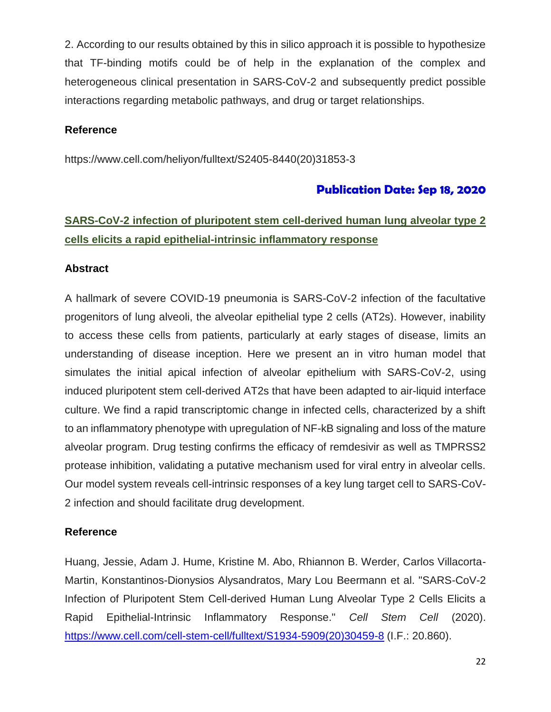2. According to our results obtained by this in silico approach it is possible to hypothesize that TF-binding motifs could be of help in the explanation of the complex and heterogeneous clinical presentation in SARS-CoV-2 and subsequently predict possible interactions regarding metabolic pathways, and drug or target relationships.

#### **Reference**

https://www.cell.com/heliyon/fulltext/S2405-8440(20)31853-3

## **Publication Date: Sep 18, 2020**

# **SARS-CoV-2 infection of pluripotent stem cell-derived human lung alveolar type 2 cells elicits a rapid epithelial-intrinsic inflammatory response**

#### **Abstract**

A hallmark of severe COVID-19 pneumonia is SARS-CoV-2 infection of the facultative progenitors of lung alveoli, the alveolar epithelial type 2 cells (AT2s). However, inability to access these cells from patients, particularly at early stages of disease, limits an understanding of disease inception. Here we present an in vitro human model that simulates the initial apical infection of alveolar epithelium with SARS-CoV-2, using induced pluripotent stem cell-derived AT2s that have been adapted to air-liquid interface culture. We find a rapid transcriptomic change in infected cells, characterized by a shift to an inflammatory phenotype with upregulation of NF-kB signaling and loss of the mature alveolar program. Drug testing confirms the efficacy of remdesivir as well as TMPRSS2 protease inhibition, validating a putative mechanism used for viral entry in alveolar cells. Our model system reveals cell-intrinsic responses of a key lung target cell to SARS-CoV-2 infection and should facilitate drug development.

#### **Reference**

Huang, Jessie, Adam J. Hume, Kristine M. Abo, Rhiannon B. Werder, Carlos Villacorta-Martin, Konstantinos-Dionysios Alysandratos, Mary Lou Beermann et al. "SARS-CoV-2 Infection of Pluripotent Stem Cell-derived Human Lung Alveolar Type 2 Cells Elicits a Rapid Epithelial-Intrinsic Inflammatory Response." *Cell Stem Cell* (2020). [https://www.cell.com/cell-stem-cell/fulltext/S1934-5909\(20\)30459-8](https://www.cell.com/cell-stem-cell/fulltext/S1934-5909(20)30459-8) (I.F.: 20.860).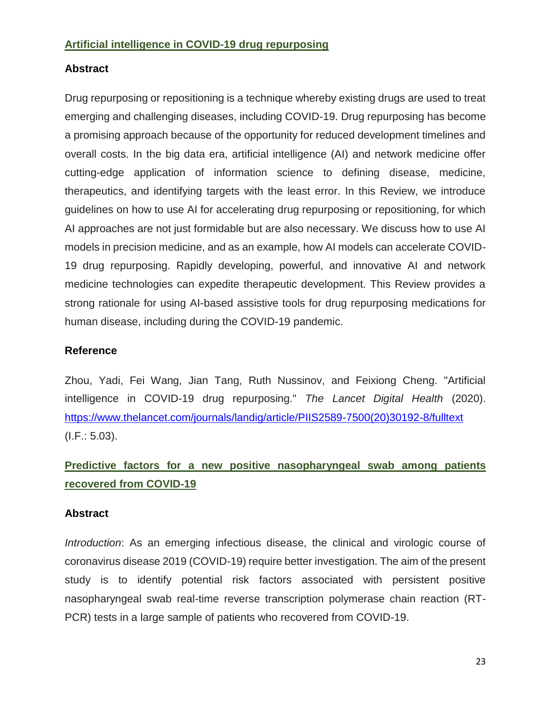#### **Artificial intelligence in COVID-19 drug repurposing**

#### **Abstract**

Drug repurposing or repositioning is a technique whereby existing drugs are used to treat emerging and challenging diseases, including COVID-19. Drug repurposing has become a promising approach because of the opportunity for reduced development timelines and overall costs. In the big data era, artificial intelligence (AI) and network medicine offer cutting-edge application of information science to defining disease, medicine, therapeutics, and identifying targets with the least error. In this Review, we introduce guidelines on how to use AI for accelerating drug repurposing or repositioning, for which AI approaches are not just formidable but are also necessary. We discuss how to use AI models in precision medicine, and as an example, how AI models can accelerate COVID-19 drug repurposing. Rapidly developing, powerful, and innovative AI and network medicine technologies can expedite therapeutic development. This Review provides a strong rationale for using AI-based assistive tools for drug repurposing medications for human disease, including during the COVID-19 pandemic.

#### **Reference**

Zhou, Yadi, Fei Wang, Jian Tang, Ruth Nussinov, and Feixiong Cheng. "Artificial intelligence in COVID-19 drug repurposing." *The Lancet Digital Health* (2020). [https://www.thelancet.com/journals/landig/article/PIIS2589-7500\(20\)30192-8/fulltext](https://www.thelancet.com/journals/landig/article/PIIS2589-7500(20)30192-8/fulltext) (I.F.: 5.03).

# **Predictive factors for a new positive nasopharyngeal swab among patients recovered from COVID-19**

#### **Abstract**

*Introduction*: As an emerging infectious disease, the clinical and virologic course of coronavirus disease 2019 (COVID-19) require better investigation. The aim of the present study is to identify potential risk factors associated with persistent positive nasopharyngeal swab real-time reverse transcription polymerase chain reaction (RT-PCR) tests in a large sample of patients who recovered from COVID-19.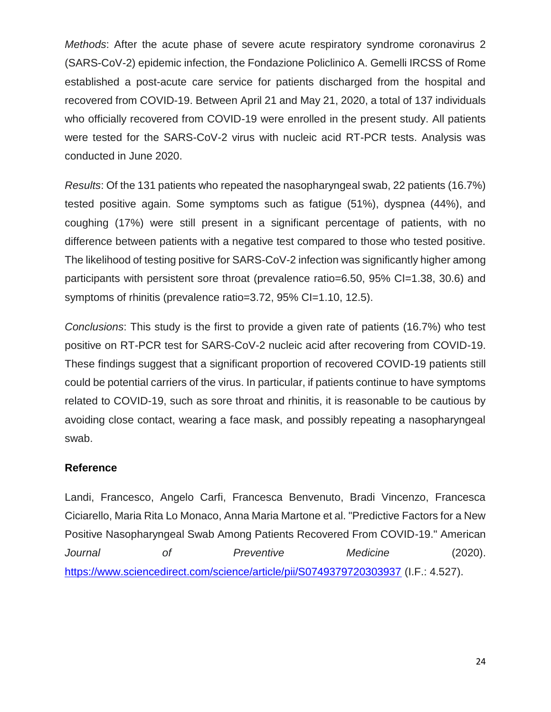*Methods*: After the acute phase of severe acute respiratory syndrome coronavirus 2 (SARS-CoV-2) epidemic infection, the Fondazione Policlinico A. Gemelli IRCSS of Rome established a post-acute care service for patients discharged from the hospital and recovered from COVID-19. Between April 21 and May 21, 2020, a total of 137 individuals who officially recovered from COVID-19 were enrolled in the present study. All patients were tested for the SARS-CoV-2 virus with nucleic acid RT-PCR tests. Analysis was conducted in June 2020.

*Results*: Of the 131 patients who repeated the nasopharyngeal swab, 22 patients (16.7%) tested positive again. Some symptoms such as fatigue (51%), dyspnea (44%), and coughing (17%) were still present in a significant percentage of patients, with no difference between patients with a negative test compared to those who tested positive. The likelihood of testing positive for SARS-CoV-2 infection was significantly higher among participants with persistent sore throat (prevalence ratio=6.50, 95% CI=1.38, 30.6) and symptoms of rhinitis (prevalence ratio=3.72, 95% CI=1.10, 12.5).

*Conclusions*: This study is the first to provide a given rate of patients (16.7%) who test positive on RT-PCR test for SARS-CoV-2 nucleic acid after recovering from COVID-19. These findings suggest that a significant proportion of recovered COVID-19 patients still could be potential carriers of the virus. In particular, if patients continue to have symptoms related to COVID-19, such as sore throat and rhinitis, it is reasonable to be cautious by avoiding close contact, wearing a face mask, and possibly repeating a nasopharyngeal swab.

#### **Reference**

Landi, Francesco, Angelo Carfi, Francesca Benvenuto, Bradi Vincenzo, Francesca Ciciarello, Maria Rita Lo Monaco, Anna Maria Martone et al. "Predictive Factors for a New Positive Nasopharyngeal Swab Among Patients Recovered From COVID-19." American *Journal of Preventive Medicine* (2020). <https://www.sciencedirect.com/science/article/pii/S0749379720303937> (I.F.: 4.527).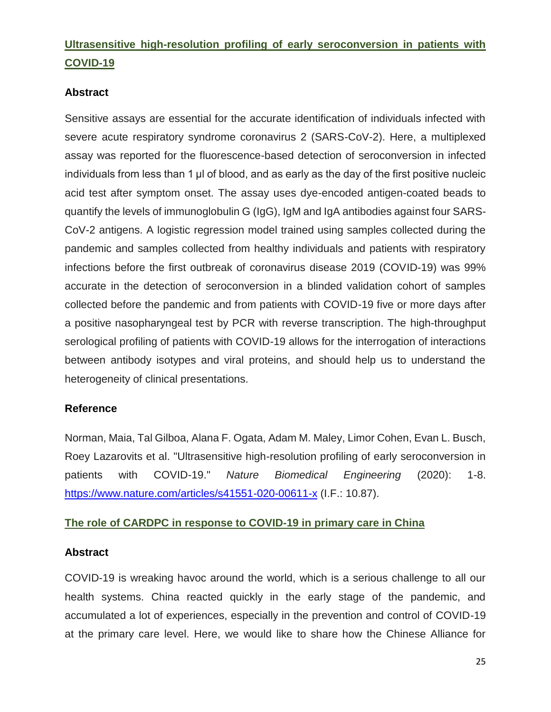# **Ultrasensitive high-resolution profiling of early seroconversion in patients with COVID-19**

## **Abstract**

Sensitive assays are essential for the accurate identification of individuals infected with severe acute respiratory syndrome coronavirus 2 (SARS-CoV-2). Here, a multiplexed assay was reported for the fluorescence-based detection of seroconversion in infected individuals from less than 1 µl of blood, and as early as the day of the first positive nucleic acid test after symptom onset. The assay uses dye-encoded antigen-coated beads to quantify the levels of immunoglobulin G (IgG), IgM and IgA antibodies against four SARS-CoV-2 antigens. A logistic regression model trained using samples collected during the pandemic and samples collected from healthy individuals and patients with respiratory infections before the first outbreak of coronavirus disease 2019 (COVID-19) was 99% accurate in the detection of seroconversion in a blinded validation cohort of samples collected before the pandemic and from patients with COVID-19 five or more days after a positive nasopharyngeal test by PCR with reverse transcription. The high-throughput serological profiling of patients with COVID-19 allows for the interrogation of interactions between antibody isotypes and viral proteins, and should help us to understand the heterogeneity of clinical presentations.

#### **Reference**

Norman, Maia, Tal Gilboa, Alana F. Ogata, Adam M. Maley, Limor Cohen, Evan L. Busch, Roey Lazarovits et al. "Ultrasensitive high-resolution profiling of early seroconversion in patients with COVID-19." *Nature Biomedical Engineering* (2020): 1-8. <https://www.nature.com/articles/s41551-020-00611-x> (I.F.: 10.87).

#### **The role of CARDPC in response to COVID-19 in primary care in China**

#### **Abstract**

COVID-19 is wreaking havoc around the world, which is a serious challenge to all our health systems. China reacted quickly in the early stage of the pandemic, and accumulated a lot of experiences, especially in the prevention and control of COVID-19 at the primary care level. Here, we would like to share how the Chinese Alliance for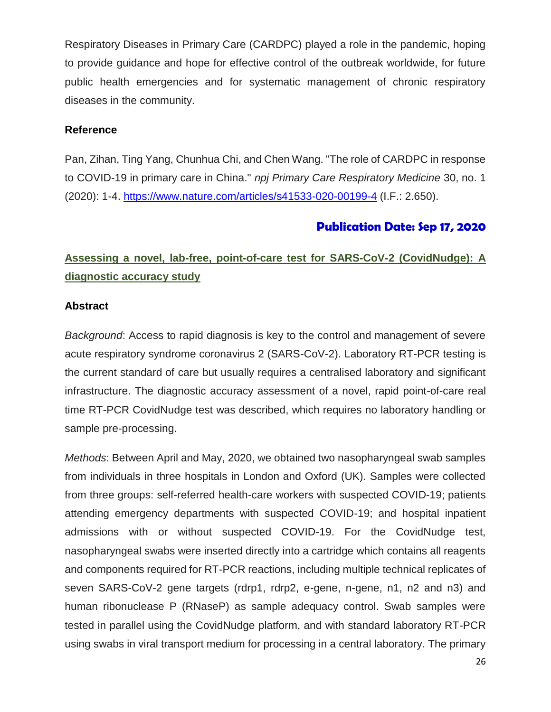Respiratory Diseases in Primary Care (CARDPC) played a role in the pandemic, hoping to provide guidance and hope for effective control of the outbreak worldwide, for future public health emergencies and for systematic management of chronic respiratory diseases in the community.

#### **Reference**

Pan, Zihan, Ting Yang, Chunhua Chi, and Chen Wang. "The role of CARDPC in response to COVID-19 in primary care in China." *npj Primary Care Respiratory Medicine* 30, no. 1 (2020): 1-4. <https://www.nature.com/articles/s41533-020-00199-4> (I.F.: 2.650).

# **Publication Date: Sep 17, 2020**

# **Assessing a novel, lab-free, point-of-care test for SARS-CoV-2 (CovidNudge): A diagnostic accuracy study**

## **Abstract**

*Background*: Access to rapid diagnosis is key to the control and management of severe acute respiratory syndrome coronavirus 2 (SARS-CoV-2). Laboratory RT-PCR testing is the current standard of care but usually requires a centralised laboratory and significant infrastructure. The diagnostic accuracy assessment of a novel, rapid point-of-care real time RT-PCR CovidNudge test was described, which requires no laboratory handling or sample pre-processing.

*Methods*: Between April and May, 2020, we obtained two nasopharyngeal swab samples from individuals in three hospitals in London and Oxford (UK). Samples were collected from three groups: self-referred health-care workers with suspected COVID-19; patients attending emergency departments with suspected COVID-19; and hospital inpatient admissions with or without suspected COVID-19. For the CovidNudge test, nasopharyngeal swabs were inserted directly into a cartridge which contains all reagents and components required for RT-PCR reactions, including multiple technical replicates of seven SARS-CoV-2 gene targets (rdrp1, rdrp2, e-gene, n-gene, n1, n2 and n3) and human ribonuclease P (RNaseP) as sample adequacy control. Swab samples were tested in parallel using the CovidNudge platform, and with standard laboratory RT-PCR using swabs in viral transport medium for processing in a central laboratory. The primary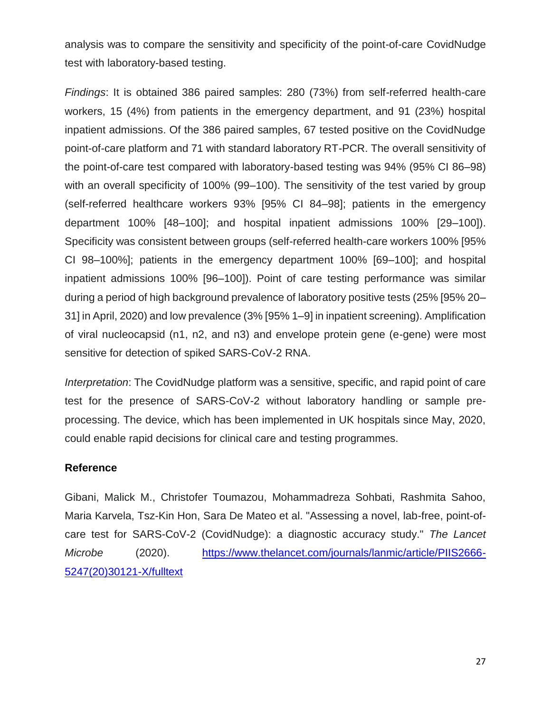analysis was to compare the sensitivity and specificity of the point-of-care CovidNudge test with laboratory-based testing.

*Findings*: It is obtained 386 paired samples: 280 (73%) from self-referred health-care workers, 15 (4%) from patients in the emergency department, and 91 (23%) hospital inpatient admissions. Of the 386 paired samples, 67 tested positive on the CovidNudge point-of-care platform and 71 with standard laboratory RT-PCR. The overall sensitivity of the point-of-care test compared with laboratory-based testing was 94% (95% CI 86–98) with an overall specificity of 100% (99–100). The sensitivity of the test varied by group (self-referred healthcare workers 93% [95% CI 84–98]; patients in the emergency department 100% [48–100]; and hospital inpatient admissions 100% [29–100]). Specificity was consistent between groups (self-referred health-care workers 100% [95% CI 98–100%]; patients in the emergency department 100% [69–100]; and hospital inpatient admissions 100% [96–100]). Point of care testing performance was similar during a period of high background prevalence of laboratory positive tests (25% [95% 20– 31] in April, 2020) and low prevalence (3% [95% 1–9] in inpatient screening). Amplification of viral nucleocapsid (n1, n2, and n3) and envelope protein gene (e-gene) were most sensitive for detection of spiked SARS-CoV-2 RNA.

*Interpretation*: The CovidNudge platform was a sensitive, specific, and rapid point of care test for the presence of SARS-CoV-2 without laboratory handling or sample preprocessing. The device, which has been implemented in UK hospitals since May, 2020, could enable rapid decisions for clinical care and testing programmes.

#### **Reference**

Gibani, Malick M., Christofer Toumazou, Mohammadreza Sohbati, Rashmita Sahoo, Maria Karvela, Tsz-Kin Hon, Sara De Mateo et al. "Assessing a novel, lab-free, point-ofcare test for SARS-CoV-2 (CovidNudge): a diagnostic accuracy study." *The Lancet Microbe* (2020). [https://www.thelancet.com/journals/lanmic/article/PIIS2666-](https://www.thelancet.com/journals/lanmic/article/PIIS2666-5247(20)30121-X/fulltext) [5247\(20\)30121-X/fulltext](https://www.thelancet.com/journals/lanmic/article/PIIS2666-5247(20)30121-X/fulltext)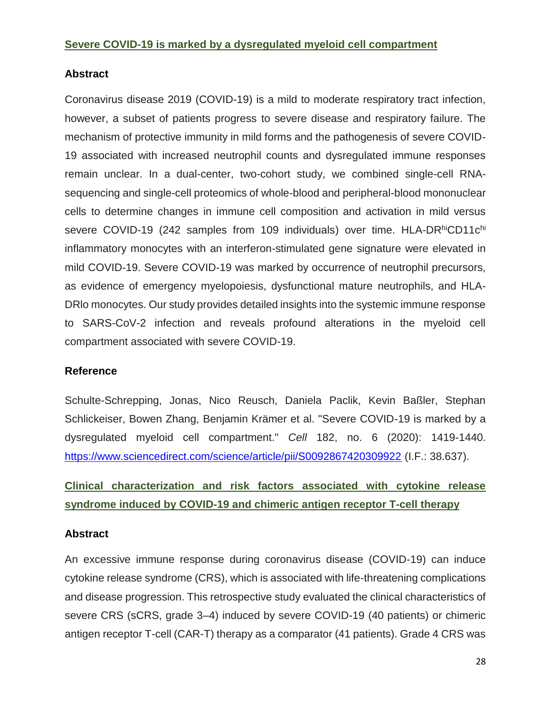#### **Abstract**

Coronavirus disease 2019 (COVID-19) is a mild to moderate respiratory tract infection, however, a subset of patients progress to severe disease and respiratory failure. The mechanism of protective immunity in mild forms and the pathogenesis of severe COVID-19 associated with increased neutrophil counts and dysregulated immune responses remain unclear. In a dual-center, two-cohort study, we combined single-cell RNAsequencing and single-cell proteomics of whole-blood and peripheral-blood mononuclear cells to determine changes in immune cell composition and activation in mild versus severe COVID-19 (242 samples from 109 individuals) over time. HLA-DRhiCD11chi inflammatory monocytes with an interferon-stimulated gene signature were elevated in mild COVID-19. Severe COVID-19 was marked by occurrence of neutrophil precursors, as evidence of emergency myelopoiesis, dysfunctional mature neutrophils, and HLA-DRlo monocytes. Our study provides detailed insights into the systemic immune response to SARS-CoV-2 infection and reveals profound alterations in the myeloid cell compartment associated with severe COVID-19.

#### **Reference**

Schulte-Schrepping, Jonas, Nico Reusch, Daniela Paclik, Kevin Baßler, Stephan Schlickeiser, Bowen Zhang, Benjamin Krämer et al. "Severe COVID-19 is marked by a dysregulated myeloid cell compartment." *Cell* 182, no. 6 (2020): 1419-1440. <https://www.sciencedirect.com/science/article/pii/S0092867420309922> (I.F.: 38.637).

**Clinical characterization and risk factors associated with cytokine release syndrome induced by COVID-19 and chimeric antigen receptor T-cell therapy**

#### **Abstract**

An excessive immune response during coronavirus disease (COVID-19) can induce cytokine release syndrome (CRS), which is associated with life-threatening complications and disease progression. This retrospective study evaluated the clinical characteristics of severe CRS (sCRS, grade 3–4) induced by severe COVID-19 (40 patients) or chimeric antigen receptor T-cell (CAR-T) therapy as a comparator (41 patients). Grade 4 CRS was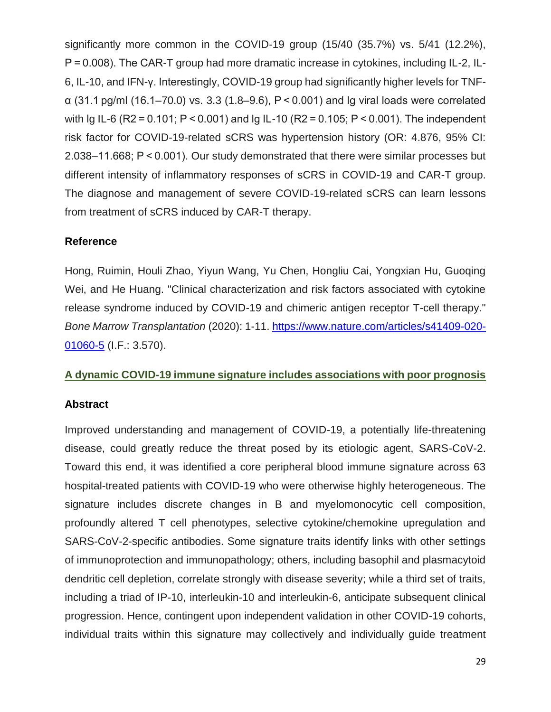significantly more common in the COVID-19 group (15/40 (35.7%) vs. 5/41 (12.2%), P = 0.008). The CAR-T group had more dramatic increase in cytokines, including IL-2, IL-6, IL-10, and IFN-γ. Interestingly, COVID-19 group had significantly higher levels for TNFα (31.1 pg/ml (16.1–70.0) vs. 3.3 (1.8–9.6), P < 0.001) and lg viral loads were correlated with lg IL-6 (R2 = 0.101; P < 0.001) and lg IL-10 (R2 = 0.105; P < 0.001). The independent risk factor for COVID-19-related sCRS was hypertension history (OR: 4.876, 95% CI: 2.038–11.668; P < 0.001). Our study demonstrated that there were similar processes but different intensity of inflammatory responses of sCRS in COVID-19 and CAR-T group. The diagnose and management of severe COVID-19-related sCRS can learn lessons from treatment of sCRS induced by CAR-T therapy.

## **Reference**

Hong, Ruimin, Houli Zhao, Yiyun Wang, Yu Chen, Hongliu Cai, Yongxian Hu, Guoqing Wei, and He Huang. "Clinical characterization and risk factors associated with cytokine release syndrome induced by COVID-19 and chimeric antigen receptor T-cell therapy." *Bone Marrow Transplantation* (2020): 1-11. [https://www.nature.com/articles/s41409-020-](https://www.nature.com/articles/s41409-020-01060-5) [01060-5](https://www.nature.com/articles/s41409-020-01060-5) (I.F.: 3.570).

## **A dynamic COVID-19 immune signature includes associations with poor prognosis**

## **Abstract**

Improved understanding and management of COVID-19, a potentially life-threatening disease, could greatly reduce the threat posed by its etiologic agent, SARS-CoV-2. Toward this end, it was identified a core peripheral blood immune signature across 63 hospital-treated patients with COVID-19 who were otherwise highly heterogeneous. The signature includes discrete changes in B and myelomonocytic cell composition, profoundly altered T cell phenotypes, selective cytokine/chemokine upregulation and SARS-CoV-2-specific antibodies. Some signature traits identify links with other settings of immunoprotection and immunopathology; others, including basophil and plasmacytoid dendritic cell depletion, correlate strongly with disease severity; while a third set of traits, including a triad of IP-10, interleukin-10 and interleukin-6, anticipate subsequent clinical progression. Hence, contingent upon independent validation in other COVID-19 cohorts, individual traits within this signature may collectively and individually guide treatment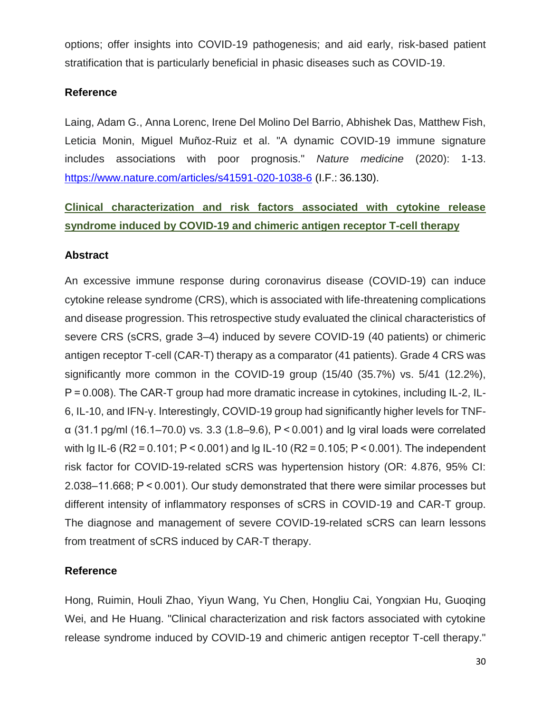options; offer insights into COVID-19 pathogenesis; and aid early, risk-based patient stratification that is particularly beneficial in phasic diseases such as COVID-19.

## **Reference**

Laing, Adam G., Anna Lorenc, Irene Del Molino Del Barrio, Abhishek Das, Matthew Fish, Leticia Monin, Miguel Muñoz-Ruiz et al. "A dynamic COVID-19 immune signature includes associations with poor prognosis." *Nature medicine* (2020): 1-13. <https://www.nature.com/articles/s41591-020-1038-6> (I.F.: 36.130).

# **Clinical characterization and risk factors associated with cytokine release syndrome induced by COVID-19 and chimeric antigen receptor T-cell therapy**

## **Abstract**

An excessive immune response during coronavirus disease (COVID-19) can induce cytokine release syndrome (CRS), which is associated with life-threatening complications and disease progression. This retrospective study evaluated the clinical characteristics of severe CRS (sCRS, grade 3–4) induced by severe COVID-19 (40 patients) or chimeric antigen receptor T-cell (CAR-T) therapy as a comparator (41 patients). Grade 4 CRS was significantly more common in the COVID-19 group (15/40 (35.7%) vs. 5/41 (12.2%), P = 0.008). The CAR-T group had more dramatic increase in cytokines, including IL-2, IL-6, IL-10, and IFN-γ. Interestingly, COVID-19 group had significantly higher levels for TNFα (31.1 pg/ml (16.1–70.0) vs. 3.3 (1.8–9.6), P < 0.001) and lg viral loads were correlated with lg IL-6 (R2 = 0.101; P < 0.001) and lg IL-10 (R2 = 0.105; P < 0.001). The independent risk factor for COVID-19-related sCRS was hypertension history (OR: 4.876, 95% CI: 2.038–11.668; P < 0.001). Our study demonstrated that there were similar processes but different intensity of inflammatory responses of sCRS in COVID-19 and CAR-T group. The diagnose and management of severe COVID-19-related sCRS can learn lessons from treatment of sCRS induced by CAR-T therapy.

## **Reference**

Hong, Ruimin, Houli Zhao, Yiyun Wang, Yu Chen, Hongliu Cai, Yongxian Hu, Guoqing Wei, and He Huang. "Clinical characterization and risk factors associated with cytokine release syndrome induced by COVID-19 and chimeric antigen receptor T-cell therapy."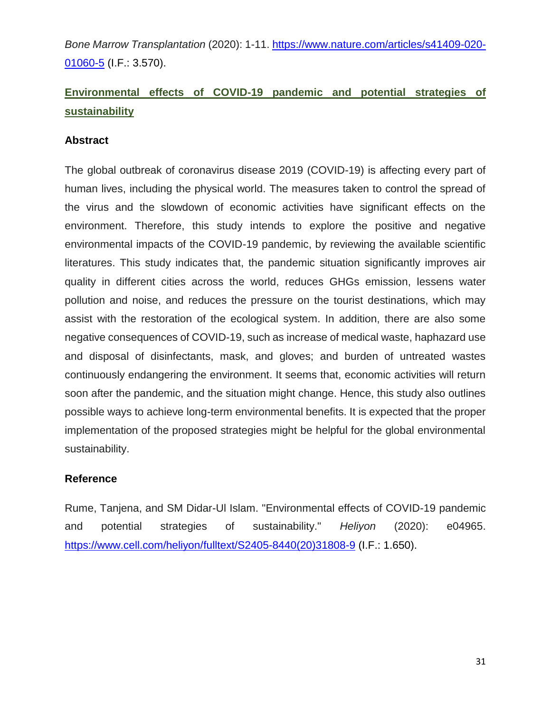*Bone Marrow Transplantation* (2020): 1-11. [https://www.nature.com/articles/s41409-020-](https://www.nature.com/articles/s41409-020-01060-5) [01060-5](https://www.nature.com/articles/s41409-020-01060-5) (I.F.: 3.570).

# **Environmental effects of COVID-19 pandemic and potential strategies of sustainability**

## **Abstract**

The global outbreak of coronavirus disease 2019 (COVID-19) is affecting every part of human lives, including the physical world. The measures taken to control the spread of the virus and the slowdown of economic activities have significant effects on the environment. Therefore, this study intends to explore the positive and negative environmental impacts of the COVID-19 pandemic, by reviewing the available scientific literatures. This study indicates that, the pandemic situation significantly improves air quality in different cities across the world, reduces GHGs emission, lessens water pollution and noise, and reduces the pressure on the tourist destinations, which may assist with the restoration of the ecological system. In addition, there are also some negative consequences of COVID-19, such as increase of medical waste, haphazard use and disposal of disinfectants, mask, and gloves; and burden of untreated wastes continuously endangering the environment. It seems that, economic activities will return soon after the pandemic, and the situation might change. Hence, this study also outlines possible ways to achieve long-term environmental benefits. It is expected that the proper implementation of the proposed strategies might be helpful for the global environmental sustainability.

#### **Reference**

Rume, Tanjena, and SM Didar-Ul Islam. "Environmental effects of COVID-19 pandemic and potential strategies of sustainability." *Heliyon* (2020): e04965. [https://www.cell.com/heliyon/fulltext/S2405-8440\(20\)31808-9](https://www.cell.com/heliyon/fulltext/S2405-8440(20)31808-9) (I.F.: 1.650).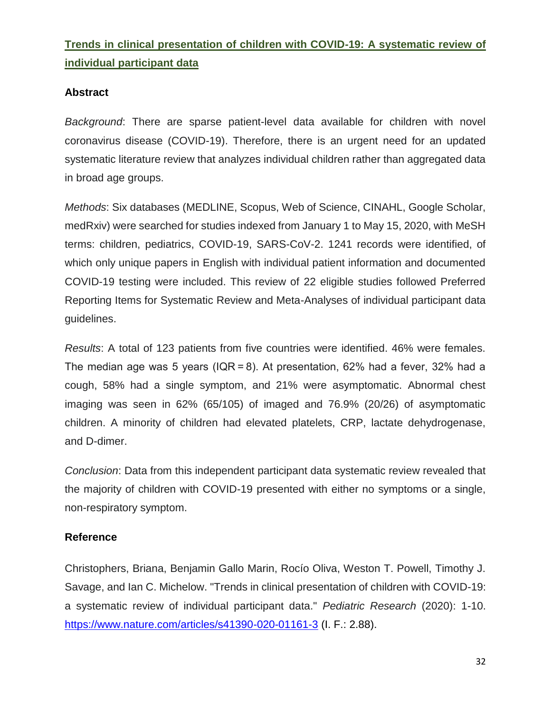# **Trends in clinical presentation of children with COVID-19: A systematic review of individual participant data**

## **Abstract**

*Background*: There are sparse patient-level data available for children with novel coronavirus disease (COVID-19). Therefore, there is an urgent need for an updated systematic literature review that analyzes individual children rather than aggregated data in broad age groups.

*Methods*: Six databases (MEDLINE, Scopus, Web of Science, CINAHL, Google Scholar, medRxiv) were searched for studies indexed from January 1 to May 15, 2020, with MeSH terms: children, pediatrics, COVID-19, SARS-CoV-2. 1241 records were identified, of which only unique papers in English with individual patient information and documented COVID-19 testing were included. This review of 22 eligible studies followed Preferred Reporting Items for Systematic Review and Meta-Analyses of individual participant data guidelines.

*Results*: A total of 123 patients from five countries were identified. 46% were females. The median age was 5 years (IQR = 8). At presentation, 62% had a fever, 32% had a cough, 58% had a single symptom, and 21% were asymptomatic. Abnormal chest imaging was seen in 62% (65/105) of imaged and 76.9% (20/26) of asymptomatic children. A minority of children had elevated platelets, CRP, lactate dehydrogenase, and D-dimer.

*Conclusion*: Data from this independent participant data systematic review revealed that the majority of children with COVID-19 presented with either no symptoms or a single, non-respiratory symptom.

#### **Reference**

Christophers, Briana, Benjamin Gallo Marin, Rocío Oliva, Weston T. Powell, Timothy J. Savage, and Ian C. Michelow. "Trends in clinical presentation of children with COVID-19: a systematic review of individual participant data." *Pediatric Research* (2020): 1-10. <https://www.nature.com/articles/s41390-020-01161-3> (I. F.: 2.88).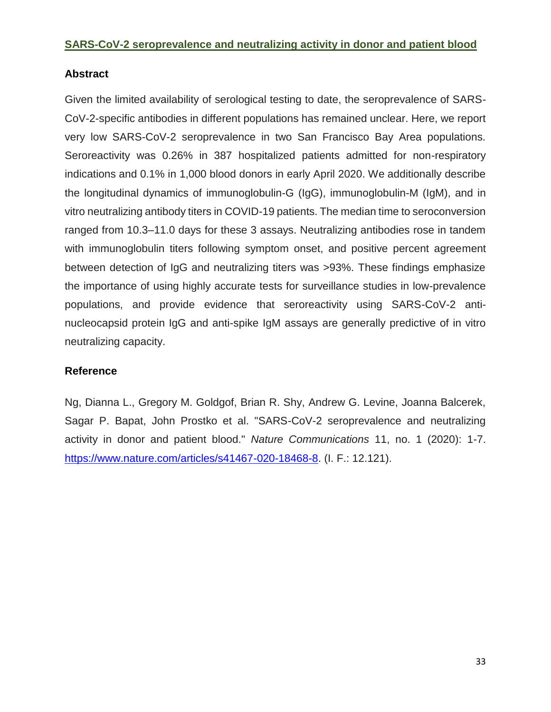#### **SARS-CoV-2 seroprevalence and neutralizing activity in donor and patient blood**

## **Abstract**

Given the limited availability of serological testing to date, the seroprevalence of SARS-CoV-2-specific antibodies in different populations has remained unclear. Here, we report very low SARS-CoV-2 seroprevalence in two San Francisco Bay Area populations. Seroreactivity was 0.26% in 387 hospitalized patients admitted for non-respiratory indications and 0.1% in 1,000 blood donors in early April 2020. We additionally describe the longitudinal dynamics of immunoglobulin-G (IgG), immunoglobulin-M (IgM), and in vitro neutralizing antibody titers in COVID-19 patients. The median time to seroconversion ranged from 10.3–11.0 days for these 3 assays. Neutralizing antibodies rose in tandem with immunoglobulin titers following symptom onset, and positive percent agreement between detection of IgG and neutralizing titers was >93%. These findings emphasize the importance of using highly accurate tests for surveillance studies in low-prevalence populations, and provide evidence that seroreactivity using SARS-CoV-2 antinucleocapsid protein IgG and anti-spike IgM assays are generally predictive of in vitro neutralizing capacity.

## **Reference**

Ng, Dianna L., Gregory M. Goldgof, Brian R. Shy, Andrew G. Levine, Joanna Balcerek, Sagar P. Bapat, John Prostko et al. "SARS-CoV-2 seroprevalence and neutralizing activity in donor and patient blood." *Nature Communications* 11, no. 1 (2020): 1-7. [https://www.nature.com/articles/s41467-020-18468-8.](https://www.nature.com/articles/s41467-020-18468-8) (I. F.: 12.121).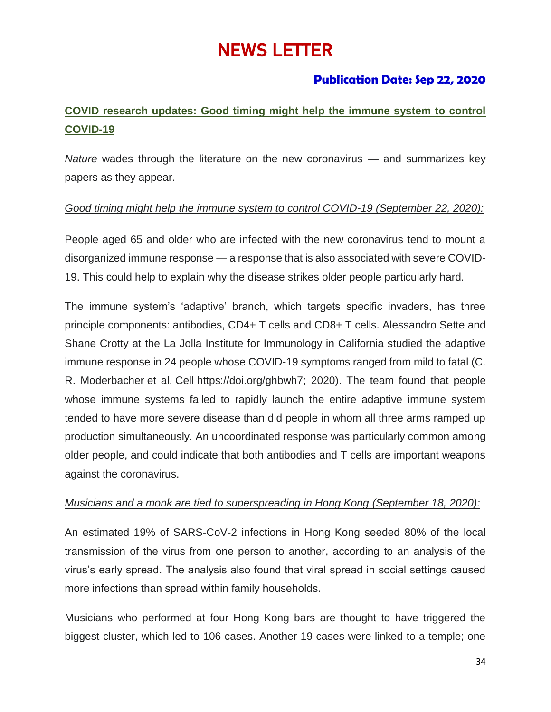# NEWS LETTER

# **Publication Date: Sep 22, 2020**

# **COVID research updates: Good timing might help the immune system to control COVID-19**

*Nature* wades through the literature on the new coronavirus — and summarizes key papers as they appear.

## *Good timing might help the immune system to control COVID-19 (September 22, 2020):*

People aged 65 and older who are infected with the new coronavirus tend to mount a disorganized immune response — a response that is also associated with severe COVID-19. This could help to explain why the disease strikes older people particularly hard.

The immune system's 'adaptive' branch, which targets specific invaders, has three principle components: antibodies, CD4+ T cells and CD8+ T cells. Alessandro Sette and Shane Crotty at the La Jolla Institute for Immunology in California studied the adaptive immune response in 24 people whose COVID-19 symptoms ranged from mild to fatal (C. R. Moderbacher et al. Cell [https://doi.org/ghbwh7;](https://doi.org/ghbwh7) 2020). The team found that people whose immune systems failed to rapidly launch the entire adaptive immune system tended to have more severe disease than did people in whom all three arms ramped up production simultaneously. An uncoordinated response was particularly common among older people, and could indicate that both antibodies and T cells are important weapons against the coronavirus.

#### *Musicians and a monk are tied to superspreading in Hong Kong (September 18, 2020):*

An estimated 19% of SARS-CoV-2 infections in Hong Kong seeded 80% of the local transmission of the virus from one person to another, according to an analysis of the virus's early spread. The analysis also found that viral spread in social settings caused more infections than spread within family households.

Musicians who performed at four Hong Kong bars are thought to have triggered the biggest cluster, which led to 106 cases. Another 19 cases were linked to a temple; one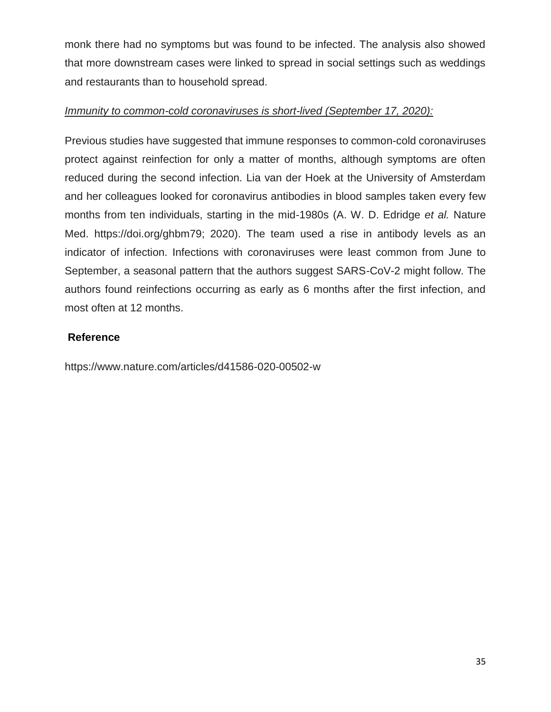monk there had no symptoms but was found to be infected. The analysis also showed that more downstream cases were linked to spread in social settings such as weddings and restaurants than to household spread.

## *Immunity to common-cold coronaviruses is short-lived (September 17, 2020):*

Previous studies have suggested that immune responses to common-cold coronaviruses protect against reinfection for only a matter of months, although symptoms are often reduced during the second infection. Lia van der Hoek at the University of Amsterdam and her colleagues looked for coronavirus antibodies in blood samples taken every few months from ten individuals, starting in the mid-1980s (A. W. D. Edridge *et al.* Nature Med. https://doi.org/ghbm79; 2020). The team used a rise in antibody levels as an indicator of infection. Infections with coronaviruses were least common from June to September, a seasonal pattern that the authors suggest SARS-CoV-2 might follow. The authors found reinfections occurring as early as 6 months after the first infection, and most often at 12 months.

## **Reference**

<https://www.nature.com/articles/d41586-020-00502-w>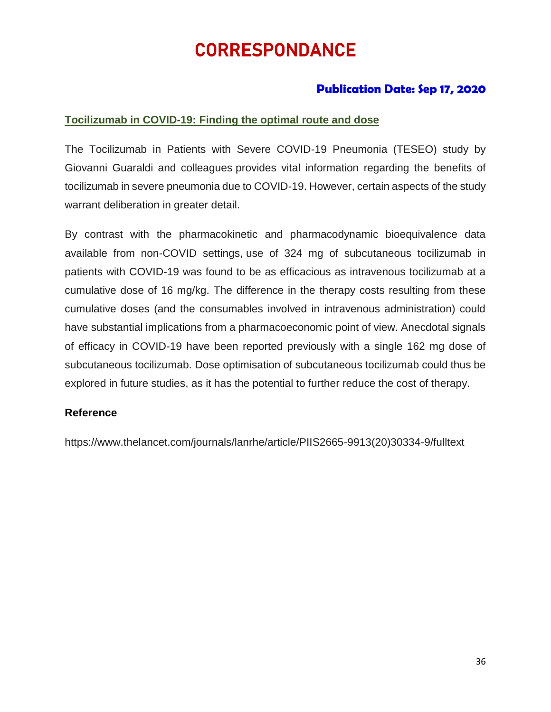# CORRESPONDANCE

# **Publication Date: Sep 17, 2020**

## **Tocilizumab in COVID-19: Finding the optimal route and dose**

The Tocilizumab in Patients with Severe COVID-19 Pneumonia (TESEO) study by Giovanni Guaraldi and colleagues provides vital information regarding the benefits of tocilizumab in severe pneumonia due to COVID-19. However, certain aspects of the study warrant deliberation in greater detail.

By contrast with the pharmacokinetic and pharmacodynamic bioequivalence data available from non-COVID settings, use of 324 mg of subcutaneous tocilizumab in patients with COVID-19 was found to be as efficacious as intravenous tocilizumab at a cumulative dose of 16 mg/kg. The difference in the therapy costs resulting from these cumulative doses (and the consumables involved in intravenous administration) could have substantial implications from a pharmacoeconomic point of view. Anecdotal signals of efficacy in COVID-19 have been reported previously with a single 162 mg dose of subcutaneous tocilizumab. Dose optimisation of subcutaneous tocilizumab could thus be explored in future studies, as it has the potential to further reduce the cost of therapy.

#### **Reference**

https://www.thelancet.com/journals/lanrhe/article/PIIS2665-9913(20)30334-9/fulltext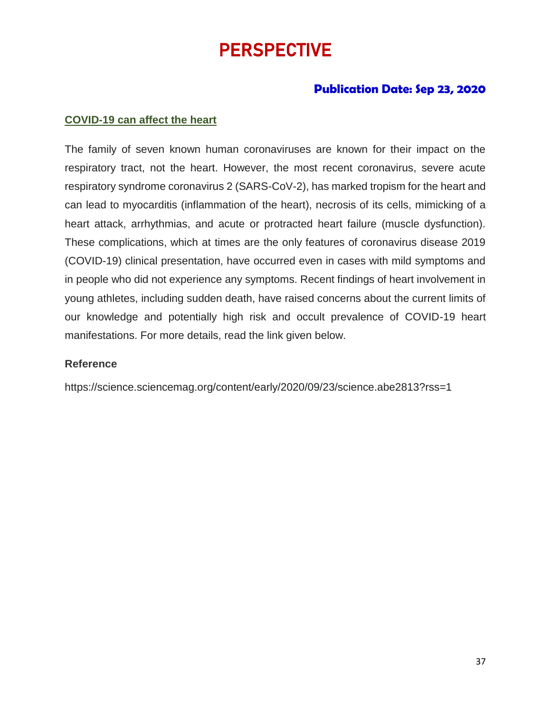# PERSPECTIVE

# **Publication Date: Sep 23, 2020**

#### **COVID-19 can affect the heart**

The family of seven known human coronaviruses are known for their impact on the respiratory tract, not the heart. However, the most recent coronavirus, severe acute respiratory syndrome coronavirus 2 (SARS-CoV-2), has marked tropism for the heart and can lead to myocarditis (inflammation of the heart), necrosis of its cells, mimicking of a heart attack, arrhythmias, and acute or protracted heart failure (muscle dysfunction). These complications, which at times are the only features of coronavirus disease 2019 (COVID-19) clinical presentation, have occurred even in cases with mild symptoms and in people who did not experience any symptoms. Recent findings of heart involvement in young athletes, including sudden death, have raised concerns about the current limits of our knowledge and potentially high risk and occult prevalence of COVID-19 heart manifestations. For more details, read the link given below.

#### **Reference**

<https://science.sciencemag.org/content/early/2020/09/23/science.abe2813?rss=1>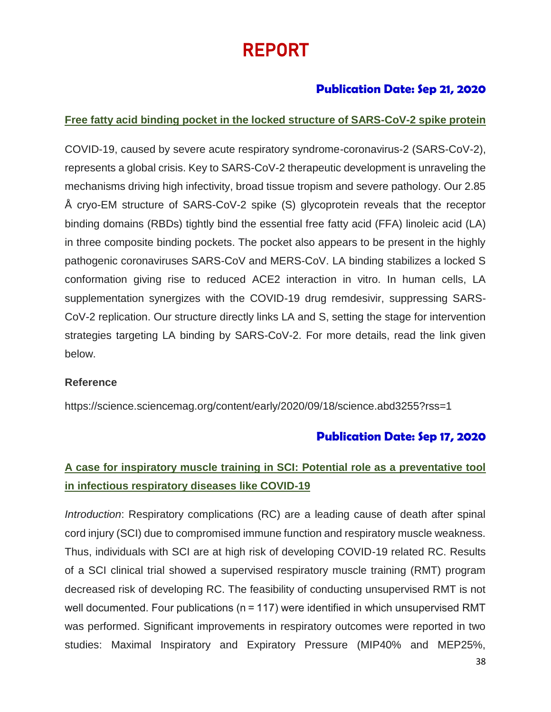# REPORT

# **Publication Date: Sep 21, 2020**

## **Free fatty acid binding pocket in the locked structure of SARS-CoV-2 spike protein**

COVID-19, caused by severe acute respiratory syndrome-coronavirus-2 (SARS-CoV-2), represents a global crisis. Key to SARS-CoV-2 therapeutic development is unraveling the mechanisms driving high infectivity, broad tissue tropism and severe pathology. Our 2.85 Å cryo-EM structure of SARS-CoV-2 spike (S) glycoprotein reveals that the receptor binding domains (RBDs) tightly bind the essential free fatty acid (FFA) linoleic acid (LA) in three composite binding pockets. The pocket also appears to be present in the highly pathogenic coronaviruses SARS-CoV and MERS-CoV. LA binding stabilizes a locked S conformation giving rise to reduced ACE2 interaction in vitro. In human cells, LA supplementation synergizes with the COVID-19 drug remdesivir, suppressing SARS-CoV-2 replication. Our structure directly links LA and S, setting the stage for intervention strategies targeting LA binding by SARS-CoV-2. For more details, read the link given below.

#### **Reference**

https://science.sciencemag.org/content/early/2020/09/18/science.abd3255?rss=1

# **Publication Date: Sep 17, 2020**

# **A case for inspiratory muscle training in SCI: Potential role as a preventative tool in infectious respiratory diseases like COVID-19**

*Introduction*: Respiratory complications (RC) are a leading cause of death after spinal cord injury (SCI) due to compromised immune function and respiratory muscle weakness. Thus, individuals with SCI are at high risk of developing COVID-19 related RC. Results of a SCI clinical trial showed a supervised respiratory muscle training (RMT) program decreased risk of developing RC. The feasibility of conducting unsupervised RMT is not well documented. Four publications (n = 117) were identified in which unsupervised RMT was performed. Significant improvements in respiratory outcomes were reported in two studies: Maximal Inspiratory and Expiratory Pressure (MIP40% and MEP25%,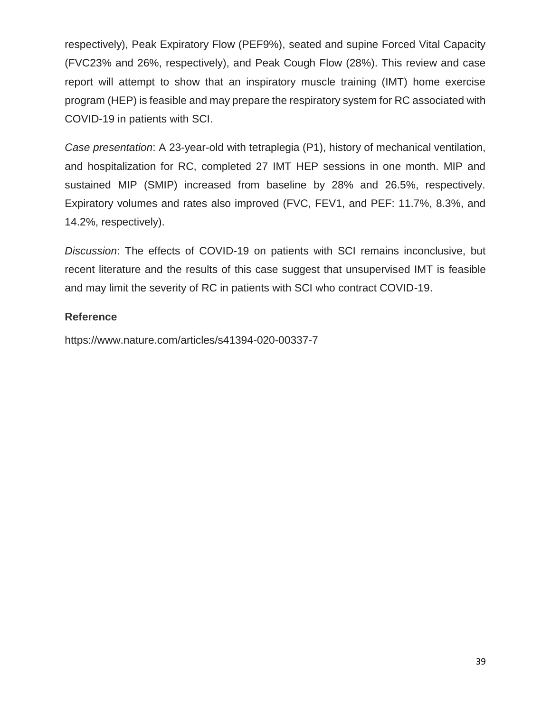respectively), Peak Expiratory Flow (PEF9%), seated and supine Forced Vital Capacity (FVC23% and 26%, respectively), and Peak Cough Flow (28%). This review and case report will attempt to show that an inspiratory muscle training (IMT) home exercise program (HEP) is feasible and may prepare the respiratory system for RC associated with COVID-19 in patients with SCI.

*Case presentation*: A 23-year-old with tetraplegia (P1), history of mechanical ventilation, and hospitalization for RC, completed 27 IMT HEP sessions in one month. MIP and sustained MIP (SMIP) increased from baseline by 28% and 26.5%, respectively. Expiratory volumes and rates also improved (FVC, FEV1, and PEF: 11.7%, 8.3%, and 14.2%, respectively).

*Discussion*: The effects of COVID-19 on patients with SCI remains inconclusive, but recent literature and the results of this case suggest that unsupervised IMT is feasible and may limit the severity of RC in patients with SCI who contract COVID-19.

## **Reference**

https://www.nature.com/articles/s41394-020-00337-7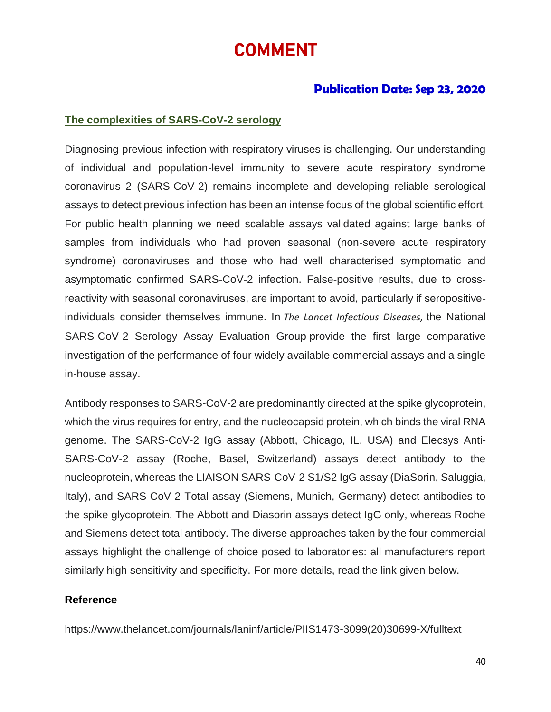# COMMENT

## **Publication Date: Sep 23, 2020**

#### **The complexities of SARS-CoV-2 serology**

Diagnosing previous infection with respiratory viruses is challenging. Our understanding of individual and population-level immunity to severe acute respiratory syndrome coronavirus 2 (SARS-CoV-2) remains incomplete and developing reliable serological assays to detect previous infection has been an intense focus of the global scientific effort. For public health planning we need scalable assays validated against large banks of samples from individuals who had proven seasonal (non-severe acute respiratory syndrome) coronaviruses and those who had well characterised symptomatic and asymptomatic confirmed SARS-CoV-2 infection. False-positive results, due to crossreactivity with seasonal coronaviruses, are important to avoid, particularly if seropositiveindividuals consider themselves immune. In *The Lancet Infectious Diseases,* the National SARS-CoV-2 Serology Assay Evaluation Group provide the first large comparative investigation of the performance of four widely available commercial assays and a single in-house assay.

Antibody responses to SARS-CoV-2 are predominantly directed at the spike glycoprotein, which the virus requires for entry, and the nucleocapsid protein, which binds the viral RNA genome. The SARS-CoV-2 IgG assay (Abbott, Chicago, IL, USA) and Elecsys Anti-SARS-CoV-2 assay (Roche, Basel, Switzerland) assays detect antibody to the nucleoprotein, whereas the LIAISON SARS-CoV-2 S1/S2 IgG assay (DiaSorin, Saluggia, Italy), and SARS-CoV-2 Total assay (Siemens, Munich, Germany) detect antibodies to the spike glycoprotein. The Abbott and Diasorin assays detect IgG only, whereas Roche and Siemens detect total antibody. The diverse approaches taken by the four commercial assays highlight the challenge of choice posed to laboratories: all manufacturers report similarly high sensitivity and specificity. For more details, read the link given below.

#### **Reference**

https://www.thelancet.com/journals/laninf/article/PIIS1473-3099(20)30699-X/fulltext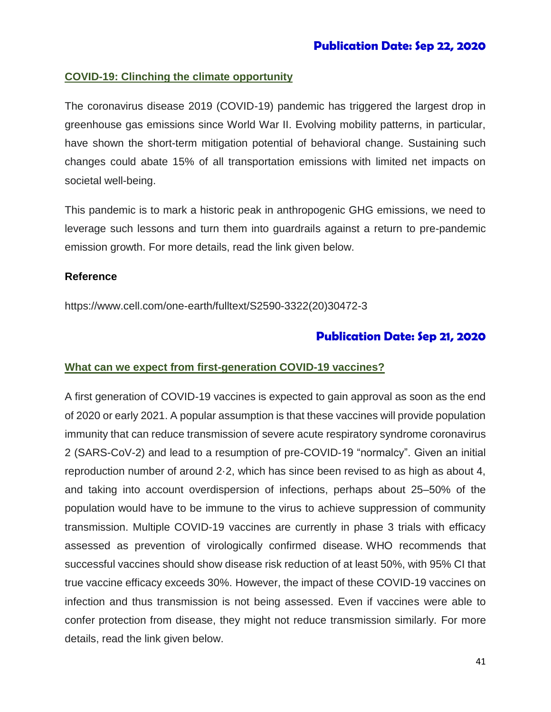## **COVID-19: Clinching the climate opportunity**

The coronavirus disease 2019 (COVID-19) pandemic has triggered the largest drop in greenhouse gas emissions since World War II. Evolving mobility patterns, in particular, have shown the short-term mitigation potential of behavioral change. Sustaining such changes could abate 15% of all transportation emissions with limited net impacts on societal well-being.

This pandemic is to mark a historic peak in anthropogenic GHG emissions, we need to leverage such lessons and turn them into guardrails against a return to pre-pandemic emission growth. For more details, read the link given below.

#### **Reference**

https://www.cell.com/one-earth/fulltext/S2590-3322(20)30472-3

## **Publication Date: Sep 21, 2020**

#### **What can we expect from first-generation COVID-19 vaccines?**

A first generation of COVID-19 vaccines is expected to gain approval as soon as the end of 2020 or early 2021. A popular assumption is that these vaccines will provide population immunity that can reduce transmission of severe acute respiratory syndrome coronavirus 2 (SARS-CoV-2) and lead to a resumption of pre-COVID-19 "normalcy". Given an initial reproduction number of around 2·2, which has since been revised to as high as about 4, and taking into account overdispersion of infections, perhaps about 25–50% of the population would have to be immune to the virus to achieve suppression of community transmission. Multiple COVID-19 vaccines are currently in phase 3 trials with efficacy assessed as prevention of virologically confirmed disease. WHO recommends that successful vaccines should show disease risk reduction of at least 50%, with 95% CI that true vaccine efficacy exceeds 30%. However, the impact of these COVID-19 vaccines on infection and thus transmission is not being assessed. Even if vaccines were able to confer protection from disease, they might not reduce transmission similarly. For more details, read the link given below.